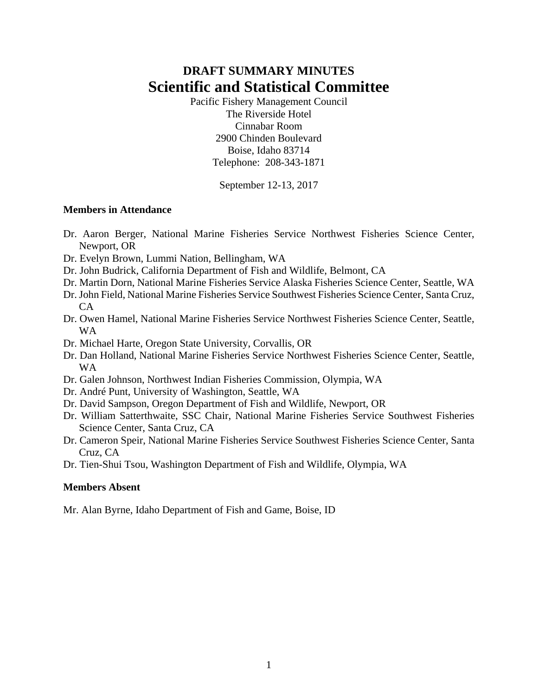# **DRAFT SUMMARY MINUTES Scientific and Statistical Committee**

Pacific Fishery Management Council The Riverside Hotel Cinnabar Room 2900 Chinden Boulevard Boise, Idaho 83714 Telephone: 208-343-1871

September 12-13, 2017

## **Members in Attendance**

- Dr. Aaron Berger, National Marine Fisheries Service Northwest Fisheries Science Center, Newport, OR
- Dr. Evelyn Brown, Lummi Nation, Bellingham, WA
- Dr. John Budrick, California Department of Fish and Wildlife, Belmont, CA
- Dr. Martin Dorn, National Marine Fisheries Service Alaska Fisheries Science Center, Seattle, WA
- Dr. John Field, National Marine Fisheries Service Southwest Fisheries Science Center, Santa Cruz,  $CA$
- Dr. Owen Hamel, National Marine Fisheries Service Northwest Fisheries Science Center, Seattle, WA
- Dr. Michael Harte, Oregon State University, Corvallis, OR
- Dr. Dan Holland, National Marine Fisheries Service Northwest Fisheries Science Center, Seattle, WA
- Dr. Galen Johnson, Northwest Indian Fisheries Commission, Olympia, WA
- Dr. André Punt, University of Washington, Seattle, WA
- Dr. David Sampson, Oregon Department of Fish and Wildlife, Newport, OR
- Dr. William Satterthwaite, SSC Chair, National Marine Fisheries Service Southwest Fisheries Science Center, Santa Cruz, CA
- Dr. Cameron Speir, National Marine Fisheries Service Southwest Fisheries Science Center, Santa Cruz, CA
- Dr. Tien-Shui Tsou, Washington Department of Fish and Wildlife, Olympia, WA

# **Members Absent**

Mr. Alan Byrne, Idaho Department of Fish and Game, Boise, ID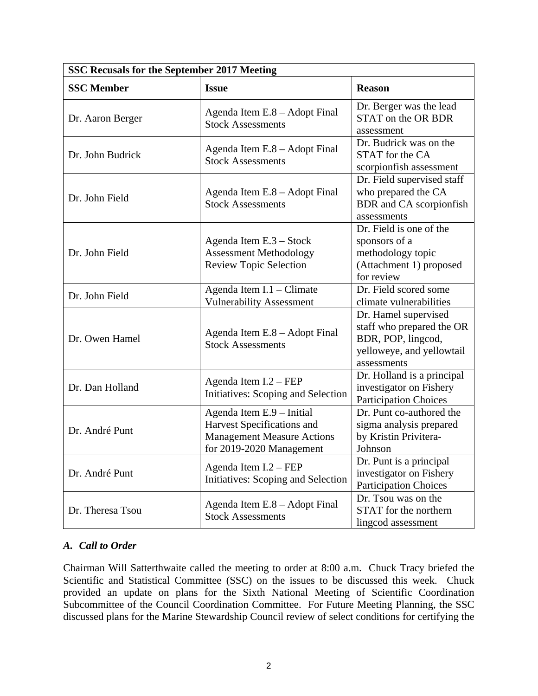| SSC Recusals for the September 2017 Meeting |                                                                                                                          |                                                                                                                     |  |  |  |  |
|---------------------------------------------|--------------------------------------------------------------------------------------------------------------------------|---------------------------------------------------------------------------------------------------------------------|--|--|--|--|
| <b>SSC Member</b>                           | <b>Issue</b>                                                                                                             | <b>Reason</b>                                                                                                       |  |  |  |  |
| Dr. Aaron Berger                            | Agenda Item E.8 - Adopt Final<br><b>Stock Assessments</b>                                                                | Dr. Berger was the lead<br>STAT on the OR BDR<br>assessment                                                         |  |  |  |  |
| Dr. John Budrick                            | Agenda Item E.8 - Adopt Final<br><b>Stock Assessments</b>                                                                | Dr. Budrick was on the<br>STAT for the CA<br>scorpionfish assessment                                                |  |  |  |  |
| Dr. John Field                              | Agenda Item E.8 - Adopt Final<br><b>Stock Assessments</b>                                                                | Dr. Field supervised staff<br>who prepared the CA<br>BDR and CA scorpionfish<br>assessments                         |  |  |  |  |
| Dr. John Field                              | Agenda Item E.3 - Stock<br><b>Assessment Methodology</b><br><b>Review Topic Selection</b>                                | Dr. Field is one of the<br>sponsors of a<br>methodology topic<br>(Attachment 1) proposed<br>for review              |  |  |  |  |
| Dr. John Field                              | Agenda Item I.1 - Climate<br><b>Vulnerability Assessment</b>                                                             | Dr. Field scored some<br>climate vulnerabilities                                                                    |  |  |  |  |
| Dr. Owen Hamel                              | Agenda Item E.8 - Adopt Final<br><b>Stock Assessments</b>                                                                | Dr. Hamel supervised<br>staff who prepared the OR<br>BDR, POP, lingcod,<br>yelloweye, and yellowtail<br>assessments |  |  |  |  |
| Dr. Dan Holland                             | Agenda Item I.2 – FEP<br>Initiatives: Scoping and Selection                                                              | Dr. Holland is a principal<br>investigator on Fishery<br><b>Participation Choices</b>                               |  |  |  |  |
| Dr. André Punt                              | Agenda Item E.9 - Initial<br>Harvest Specifications and<br><b>Management Measure Actions</b><br>for 2019-2020 Management | Dr. Punt co-authored the<br>sigma analysis prepared<br>by Kristin Privitera-<br>Johnson                             |  |  |  |  |
| Dr. André Punt                              | Agenda Item I.2 - FEP<br>Initiatives: Scoping and Selection                                                              | Dr. Punt is a principal<br>investigator on Fishery<br><b>Participation Choices</b>                                  |  |  |  |  |
| Dr. Theresa Tsou                            | Agenda Item E.8 - Adopt Final<br><b>Stock Assessments</b>                                                                | Dr. Tsou was on the<br>STAT for the northern<br>lingcod assessment                                                  |  |  |  |  |

# *A. Call to Order*

Chairman Will Satterthwaite called the meeting to order at 8:00 a.m. Chuck Tracy briefed the Scientific and Statistical Committee (SSC) on the issues to be discussed this week. Chuck provided an update on plans for the Sixth National Meeting of Scientific Coordination Subcommittee of the Council Coordination Committee. For Future Meeting Planning, the SSC discussed plans for the Marine Stewardship Council review of select conditions for certifying the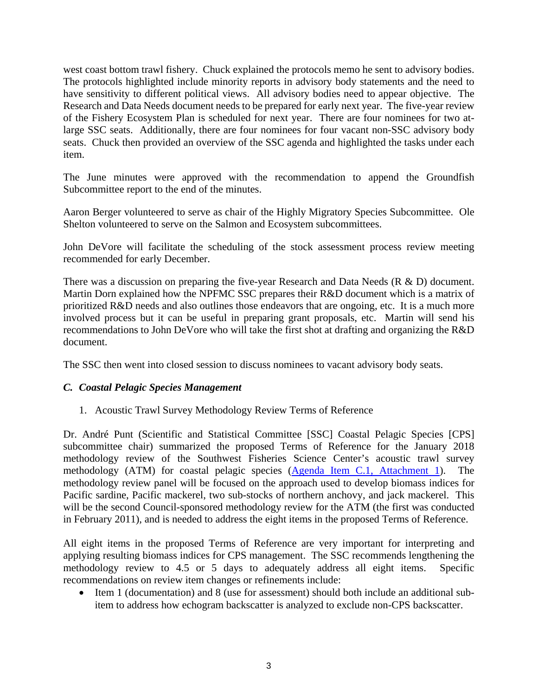west coast bottom trawl fishery. Chuck explained the protocols memo he sent to advisory bodies. The protocols highlighted include minority reports in advisory body statements and the need to have sensitivity to different political views. All advisory bodies need to appear objective. The Research and Data Needs document needs to be prepared for early next year. The five-year review of the Fishery Ecosystem Plan is scheduled for next year. There are four nominees for two atlarge SSC seats. Additionally, there are four nominees for four vacant non-SSC advisory body seats. Chuck then provided an overview of the SSC agenda and highlighted the tasks under each item.

The June minutes were approved with the recommendation to append the Groundfish Subcommittee report to the end of the minutes.

Aaron Berger volunteered to serve as chair of the Highly Migratory Species Subcommittee. Ole Shelton volunteered to serve on the Salmon and Ecosystem subcommittees.

John DeVore will facilitate the scheduling of the stock assessment process review meeting recommended for early December.

There was a discussion on preparing the five-year Research and Data Needs (R & D) document. Martin Dorn explained how the NPFMC SSC prepares their R&D document which is a matrix of prioritized R&D needs and also outlines those endeavors that are ongoing, etc. It is a much more involved process but it can be useful in preparing grant proposals, etc. Martin will send his recommendations to John DeVore who will take the first shot at drafting and organizing the R&D document.

The SSC then went into closed session to discuss nominees to vacant advisory body seats.

#### *C. Coastal Pelagic Species Management*

1. Acoustic Trawl Survey Methodology Review Terms of Reference

Dr. André Punt (Scientific and Statistical Committee [SSC] Coastal Pelagic Species [CPS] subcommittee chair) summarized the proposed Terms of Reference for the January 2018 methodology review of the Southwest Fisheries Science Center's acoustic trawl survey methodology (ATM) for coastal pelagic species (Agenda Item C.1, Attachment 1). The methodology review panel will be focused on the approach used to develop biomass indices for Pacific sardine, Pacific mackerel, two sub-stocks of northern anchovy, and jack mackerel. This will be the second Council-sponsored methodology review for the ATM (the first was conducted in February 2011), and is needed to address the eight items in the proposed Terms of Reference.

All eight items in the proposed Terms of Reference are very important for interpreting and applying resulting biomass indices for CPS management. The SSC recommends lengthening the methodology review to 4.5 or 5 days to adequately address all eight items. Specific recommendations on review item changes or refinements include:

 Item 1 (documentation) and 8 (use for assessment) should both include an additional subitem to address how echogram backscatter is analyzed to exclude non-CPS backscatter.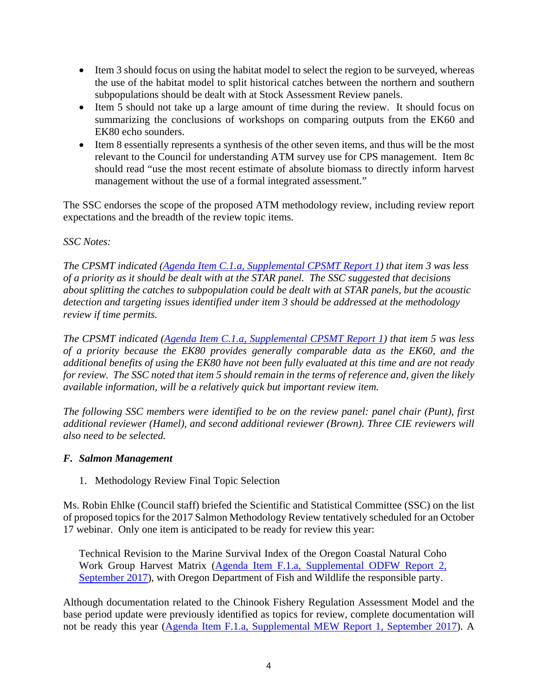- Item 3 should focus on using the habitat model to select the region to be surveyed, whereas the use of the habitat model to split historical catches between the northern and southern subpopulations should be dealt with at Stock Assessment Review panels.
- Item 5 should not take up a large amount of time during the review. It should focus on summarizing the conclusions of workshops on comparing outputs from the EK60 and EK80 echo sounders.
- Item 8 essentially represents a synthesis of the other seven items, and thus will be the most relevant to the Council for understanding ATM survey use for CPS management. Item 8c should read "use the most recent estimate of absolute biomass to directly inform harvest management without the use of a formal integrated assessment."

The SSC endorses the scope of the proposed ATM methodology review, including review report expectations and the breadth of the review topic items.

# *SSC Notes:*

*The CPSMT indicated (Agenda Item C.1.a, Supplemental CPSMT Report 1) that item 3 was less of a priority as it should be dealt with at the STAR panel. The SSC suggested that decisions about splitting the catches to subpopulation could be dealt with at STAR panels, but the acoustic detection and targeting issues identified under item 3 should be addressed at the methodology review if time permits.* 

*The CPSMT indicated (Agenda Item C.1.a, Supplemental CPSMT Report 1) that item 5 was less of a priority because the EK80 provides generally comparable data as the EK60, and the additional benefits of using the EK80 have not been fully evaluated at this time and are not ready for review. The SSC noted that item 5 should remain in the terms of reference and, given the likely available information, will be a relatively quick but important review item.* 

*The following SSC members were identified to be on the review panel: panel chair (Punt), first additional reviewer (Hamel), and second additional reviewer (Brown). Three CIE reviewers will also need to be selected.* 

# *F. Salmon Management*

1. Methodology Review Final Topic Selection

Ms. Robin Ehlke (Council staff) briefed the Scientific and Statistical Committee (SSC) on the list of proposed topics for the 2017 Salmon Methodology Review tentatively scheduled for an October 17 webinar. Only one item is anticipated to be ready for review this year:

Technical Revision to the Marine Survival Index of the Oregon Coastal Natural Coho Work Group Harvest Matrix (Agenda Item F.1.a, Supplemental ODFW Report 2, September 2017), with Oregon Department of Fish and Wildlife the responsible party.

Although documentation related to the Chinook Fishery Regulation Assessment Model and the base period update were previously identified as topics for review, complete documentation will not be ready this year (Agenda Item F.1.a, Supplemental MEW Report 1, September 2017). A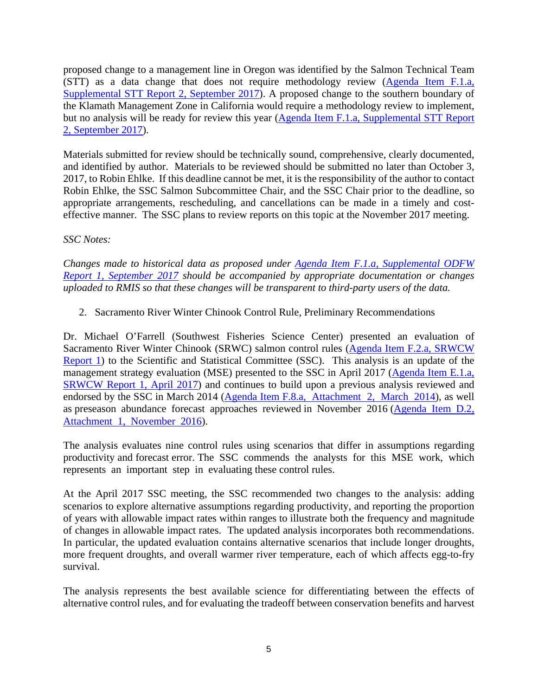proposed change to a management line in Oregon was identified by the Salmon Technical Team (STT) as a data change that does not require methodology review (Agenda Item F.1.a, Supplemental STT Report 2, September 2017). A proposed change to the southern boundary of the Klamath Management Zone in California would require a methodology review to implement, but no analysis will be ready for review this year (Agenda Item F.1.a, Supplemental STT Report 2, September 2017).

Materials submitted for review should be technically sound, comprehensive, clearly documented, and identified by author. Materials to be reviewed should be submitted no later than October 3, 2017, to Robin Ehlke. If this deadline cannot be met, it is the responsibility of the author to contact Robin Ehlke, the SSC Salmon Subcommittee Chair, and the SSC Chair prior to the deadline, so appropriate arrangements, rescheduling, and cancellations can be made in a timely and costeffective manner. The SSC plans to review reports on this topic at the November 2017 meeting.

## *SSC Notes:*

*Changes made to historical data as proposed under Agenda Item F.1.a, Supplemental ODFW Report 1, September 2017 should be accompanied by appropriate documentation or changes uploaded to RMIS so that these changes will be transparent to third-party users of the data.* 

2. Sacramento River Winter Chinook Control Rule, Preliminary Recommendations

Dr. Michael O'Farrell (Southwest Fisheries Science Center) presented an evaluation of Sacramento River Winter Chinook (SRWC) salmon control rules (Agenda Item F.2.a, SRWCW Report 1) to the Scientific and Statistical Committee (SSC). This analysis is an update of the management strategy evaluation (MSE) presented to the SSC in April 2017 (Agenda Item E.1.a, SRWCW Report 1, April 2017) and continues to build upon a previous analysis reviewed and endorsed by the SSC in March 2014 (Agenda Item F.8.a, Attachment 2, March 2014), as well as preseason abundance forecast approaches reviewed in November 2016 (Agenda Item D.2, Attachment 1, November 2016).

The analysis evaluates nine control rules using scenarios that differ in assumptions regarding productivity and forecast error. The SSC commends the analysts for this MSE work, which represents an important step in evaluating these control rules.

At the April 2017 SSC meeting, the SSC recommended two changes to the analysis: adding scenarios to explore alternative assumptions regarding productivity, and reporting the proportion of years with allowable impact rates within ranges to illustrate both the frequency and magnitude of changes in allowable impact rates. The updated analysis incorporates both recommendations. In particular, the updated evaluation contains alternative scenarios that include longer droughts, more frequent droughts, and overall warmer river temperature, each of which affects egg-to-fry survival.

The analysis represents the best available science for differentiating between the effects of alternative control rules, and for evaluating the tradeoff between conservation benefits and harvest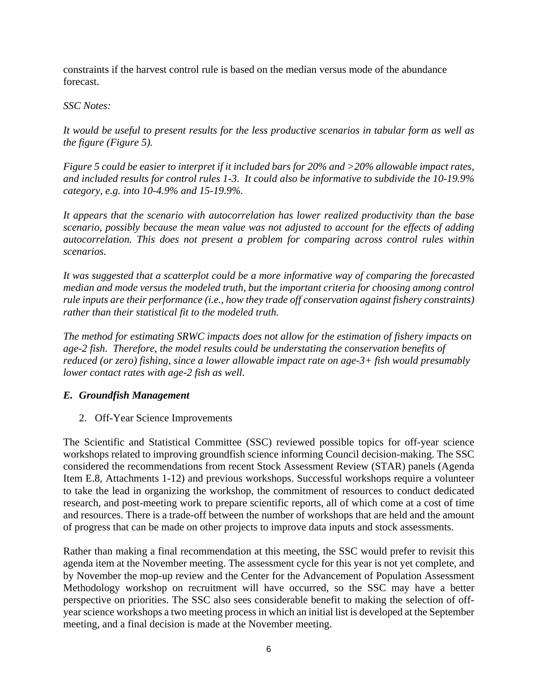constraints if the harvest control rule is based on the median versus mode of the abundance forecast.

# *SSC Notes:*

*It would be useful to present results for the less productive scenarios in tabular form as well as the figure (Figure 5).* 

*Figure 5 could be easier to interpret if it included bars for 20% and >20% allowable impact rates, and included results for control rules 1-3. It could also be informative to subdivide the 10-19.9% category, e.g. into 10-4.9% and 15-19.9%.* 

*It appears that the scenario with autocorrelation has lower realized productivity than the base scenario, possibly because the mean value was not adjusted to account for the effects of adding autocorrelation. This does not present a problem for comparing across control rules within scenarios.* 

*It was suggested that a scatterplot could be a more informative way of comparing the forecasted median and mode versus the modeled truth, but the important criteria for choosing among control rule inputs are their performance (i.e., how they trade off conservation against fishery constraints) rather than their statistical fit to the modeled truth.* 

*The method for estimating SRWC impacts does not allow for the estimation of fishery impacts on age-2 fish. Therefore, the model results could be understating the conservation benefits of reduced (or zero) fishing, since a lower allowable impact rate on age-3+ fish would presumably lower contact rates with age-2 fish as well.*

# *E. Groundfish Management*

2. Off-Year Science Improvements

The Scientific and Statistical Committee (SSC) reviewed possible topics for off-year science workshops related to improving groundfish science informing Council decision-making. The SSC considered the recommendations from recent Stock Assessment Review (STAR) panels (Agenda Item E.8, Attachments 1-12) and previous workshops. Successful workshops require a volunteer to take the lead in organizing the workshop, the commitment of resources to conduct dedicated research, and post-meeting work to prepare scientific reports, all of which come at a cost of time and resources. There is a trade-off between the number of workshops that are held and the amount of progress that can be made on other projects to improve data inputs and stock assessments.

Rather than making a final recommendation at this meeting, the SSC would prefer to revisit this agenda item at the November meeting. The assessment cycle for this year is not yet complete, and by November the mop-up review and the Center for the Advancement of Population Assessment Methodology workshop on recruitment will have occurred, so the SSC may have a better perspective on priorities. The SSC also sees considerable benefit to making the selection of offyear science workshops a two meeting process in which an initial list is developed at the September meeting, and a final decision is made at the November meeting.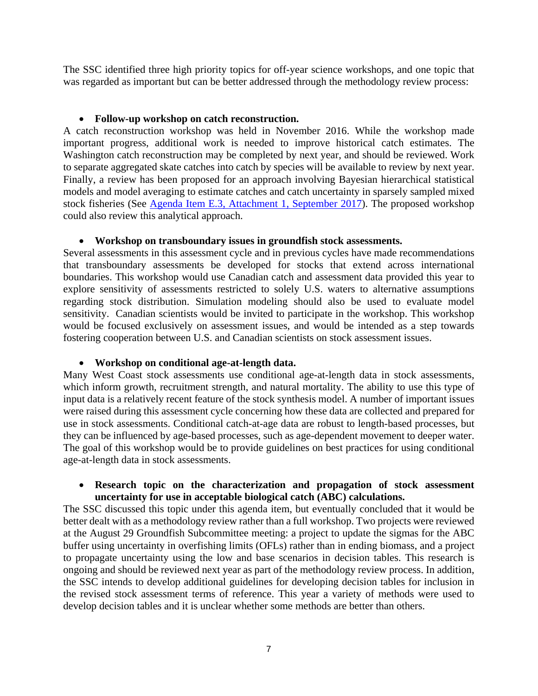The SSC identified three high priority topics for off-year science workshops, and one topic that was regarded as important but can be better addressed through the methodology review process:

#### **Follow-up workshop on catch reconstruction.**

A catch reconstruction workshop was held in November 2016. While the workshop made important progress, additional work is needed to improve historical catch estimates. The Washington catch reconstruction may be completed by next year, and should be reviewed. Work to separate aggregated skate catches into catch by species will be available to review by next year. Finally, a review has been proposed for an approach involving Bayesian hierarchical statistical models and model averaging to estimate catches and catch uncertainty in sparsely sampled mixed stock fisheries (See Agenda Item E.3, Attachment 1, September 2017). The proposed workshop could also review this analytical approach.

#### **Workshop on transboundary issues in groundfish stock assessments.**

Several assessments in this assessment cycle and in previous cycles have made recommendations that transboundary assessments be developed for stocks that extend across international boundaries. This workshop would use Canadian catch and assessment data provided this year to explore sensitivity of assessments restricted to solely U.S. waters to alternative assumptions regarding stock distribution. Simulation modeling should also be used to evaluate model sensitivity. Canadian scientists would be invited to participate in the workshop. This workshop would be focused exclusively on assessment issues, and would be intended as a step towards fostering cooperation between U.S. and Canadian scientists on stock assessment issues.

#### **Workshop on conditional age-at-length data.**

Many West Coast stock assessments use conditional age-at-length data in stock assessments, which inform growth, recruitment strength, and natural mortality. The ability to use this type of input data is a relatively recent feature of the stock synthesis model. A number of important issues were raised during this assessment cycle concerning how these data are collected and prepared for use in stock assessments. Conditional catch-at-age data are robust to length-based processes, but they can be influenced by age-based processes, such as age-dependent movement to deeper water. The goal of this workshop would be to provide guidelines on best practices for using conditional age-at-length data in stock assessments.

#### **Research topic on the characterization and propagation of stock assessment uncertainty for use in acceptable biological catch (ABC) calculations.**

The SSC discussed this topic under this agenda item, but eventually concluded that it would be better dealt with as a methodology review rather than a full workshop. Two projects were reviewed at the August 29 Groundfish Subcommittee meeting: a project to update the sigmas for the ABC buffer using uncertainty in overfishing limits (OFLs) rather than in ending biomass, and a project to propagate uncertainty using the low and base scenarios in decision tables. This research is ongoing and should be reviewed next year as part of the methodology review process. In addition, the SSC intends to develop additional guidelines for developing decision tables for inclusion in the revised stock assessment terms of reference. This year a variety of methods were used to develop decision tables and it is unclear whether some methods are better than others.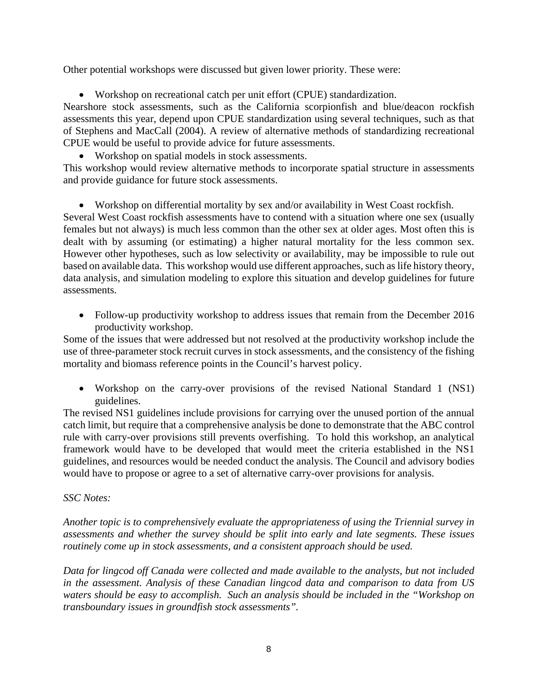Other potential workshops were discussed but given lower priority. These were:

Workshop on recreational catch per unit effort (CPUE) standardization.

Nearshore stock assessments, such as the California scorpionfish and blue/deacon rockfish assessments this year, depend upon CPUE standardization using several techniques, such as that of Stephens and MacCall (2004). A review of alternative methods of standardizing recreational CPUE would be useful to provide advice for future assessments.

#### Workshop on spatial models in stock assessments.

This workshop would review alternative methods to incorporate spatial structure in assessments and provide guidance for future stock assessments.

Workshop on differential mortality by sex and/or availability in West Coast rockfish.

Several West Coast rockfish assessments have to contend with a situation where one sex (usually females but not always) is much less common than the other sex at older ages. Most often this is dealt with by assuming (or estimating) a higher natural mortality for the less common sex. However other hypotheses, such as low selectivity or availability, may be impossible to rule out based on available data. This workshop would use different approaches, such as life history theory, data analysis, and simulation modeling to explore this situation and develop guidelines for future assessments.

• Follow-up productivity workshop to address issues that remain from the December 2016 productivity workshop.

Some of the issues that were addressed but not resolved at the productivity workshop include the use of three-parameter stock recruit curves in stock assessments, and the consistency of the fishing mortality and biomass reference points in the Council's harvest policy.

 Workshop on the carry-over provisions of the revised National Standard 1 (NS1) guidelines.

The revised NS1 guidelines include provisions for carrying over the unused portion of the annual catch limit, but require that a comprehensive analysis be done to demonstrate that the ABC control rule with carry-over provisions still prevents overfishing. To hold this workshop, an analytical framework would have to be developed that would meet the criteria established in the NS1 guidelines, and resources would be needed conduct the analysis. The Council and advisory bodies would have to propose or agree to a set of alternative carry-over provisions for analysis.

#### *SSC Notes:*

*Another topic is to comprehensively evaluate the appropriateness of using the Triennial survey in assessments and whether the survey should be split into early and late segments. These issues routinely come up in stock assessments, and a consistent approach should be used.* 

*Data for lingcod off Canada were collected and made available to the analysts, but not included in the assessment. Analysis of these Canadian lingcod data and comparison to data from US waters should be easy to accomplish. Such an analysis should be included in the "Workshop on transboundary issues in groundfish stock assessments".*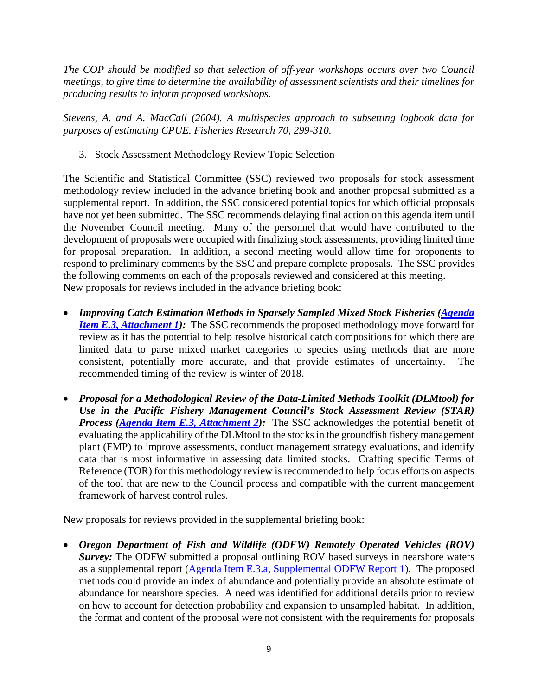*The COP should be modified so that selection of off-year workshops occurs over two Council meetings, to give time to determine the availability of assessment scientists and their timelines for producing results to inform proposed workshops.* 

*Stevens, A. and A. MacCall (2004). A multispecies approach to subsetting logbook data for purposes of estimating CPUE. Fisheries Research 70, 299-310.* 

3. Stock Assessment Methodology Review Topic Selection

The Scientific and Statistical Committee (SSC) reviewed two proposals for stock assessment methodology review included in the advance briefing book and another proposal submitted as a supplemental report. In addition, the SSC considered potential topics for which official proposals have not yet been submitted. The SSC recommends delaying final action on this agenda item until the November Council meeting. Many of the personnel that would have contributed to the development of proposals were occupied with finalizing stock assessments, providing limited time for proposal preparation. In addition, a second meeting would allow time for proponents to respond to preliminary comments by the SSC and prepare complete proposals. The SSC provides the following comments on each of the proposals reviewed and considered at this meeting. New proposals for reviews included in the advance briefing book:

- *Improving Catch Estimation Methods in Sparsely Sampled Mixed Stock Fisheries (Agenda Item E.3, Attachment 1*): The SSC recommends the proposed methodology move forward for review as it has the potential to help resolve historical catch compositions for which there are limited data to parse mixed market categories to species using methods that are more consistent, potentially more accurate, and that provide estimates of uncertainty. The recommended timing of the review is winter of 2018.
- *Proposal for a Methodological Review of the Data-Limited Methods Toolkit (DLMtool) for Use in the Pacific Fishery Management Council's Stock Assessment Review (STAR) Process (Agenda Item E.3, Attachment 2):* The SSC acknowledges the potential benefit of evaluating the applicability of the DLMtool to the stocks in the groundfish fishery management plant (FMP) to improve assessments, conduct management strategy evaluations, and identify data that is most informative in assessing data limited stocks. Crafting specific Terms of Reference (TOR) for this methodology review is recommended to help focus efforts on aspects of the tool that are new to the Council process and compatible with the current management framework of harvest control rules.

New proposals for reviews provided in the supplemental briefing book:

 *Oregon Department of Fish and Wildlife (ODFW) Remotely Operated Vehicles (ROV) Survey:* The ODFW submitted a proposal outlining ROV based surveys in nearshore waters as a supplemental report (Agenda Item E.3.a, Supplemental ODFW Report 1). The proposed methods could provide an index of abundance and potentially provide an absolute estimate of abundance for nearshore species. A need was identified for additional details prior to review on how to account for detection probability and expansion to unsampled habitat. In addition, the format and content of the proposal were not consistent with the requirements for proposals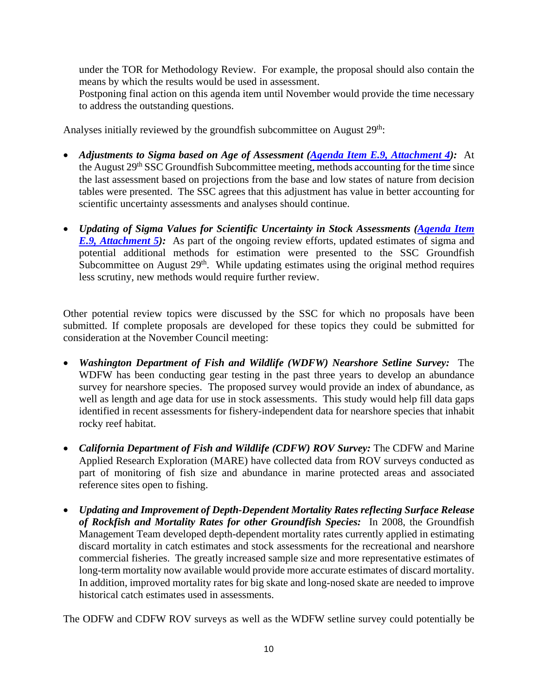under the TOR for Methodology Review. For example, the proposal should also contain the means by which the results would be used in assessment.

Postponing final action on this agenda item until November would provide the time necessary to address the outstanding questions.

Analyses initially reviewed by the groundfish subcommittee on August 29<sup>th</sup>:

- *Adjustments to Sigma based on Age of Assessment (Agenda Item E.9, Attachment 4):* At the August 29th SSC Groundfish Subcommittee meeting, methods accounting for the time since the last assessment based on projections from the base and low states of nature from decision tables were presented. The SSC agrees that this adjustment has value in better accounting for scientific uncertainty assessments and analyses should continue.
- *Updating of Sigma Values for Scientific Uncertainty in Stock Assessments (Agenda Item E.9, Attachment 5*): As part of the ongoing review efforts, updated estimates of sigma and potential additional methods for estimation were presented to the SSC Groundfish Subcommittee on August  $29<sup>th</sup>$ . While updating estimates using the original method requires less scrutiny, new methods would require further review.

Other potential review topics were discussed by the SSC for which no proposals have been submitted. If complete proposals are developed for these topics they could be submitted for consideration at the November Council meeting:

- *Washington Department of Fish and Wildlife (WDFW) Nearshore Setline Survey:* The WDFW has been conducting gear testing in the past three years to develop an abundance survey for nearshore species. The proposed survey would provide an index of abundance, as well as length and age data for use in stock assessments. This study would help fill data gaps identified in recent assessments for fishery-independent data for nearshore species that inhabit rocky reef habitat.
- *California Department of Fish and Wildlife (CDFW) ROV Survey:* The CDFW and Marine Applied Research Exploration (MARE) have collected data from ROV surveys conducted as part of monitoring of fish size and abundance in marine protected areas and associated reference sites open to fishing.
- *Updating and Improvement of Depth-Dependent Mortality Rates reflecting Surface Release of Rockfish and Mortality Rates for other Groundfish Species:* In 2008, the Groundfish Management Team developed depth-dependent mortality rates currently applied in estimating discard mortality in catch estimates and stock assessments for the recreational and nearshore commercial fisheries. The greatly increased sample size and more representative estimates of long-term mortality now available would provide more accurate estimates of discard mortality. In addition, improved mortality rates for big skate and long-nosed skate are needed to improve historical catch estimates used in assessments.

The ODFW and CDFW ROV surveys as well as the WDFW setline survey could potentially be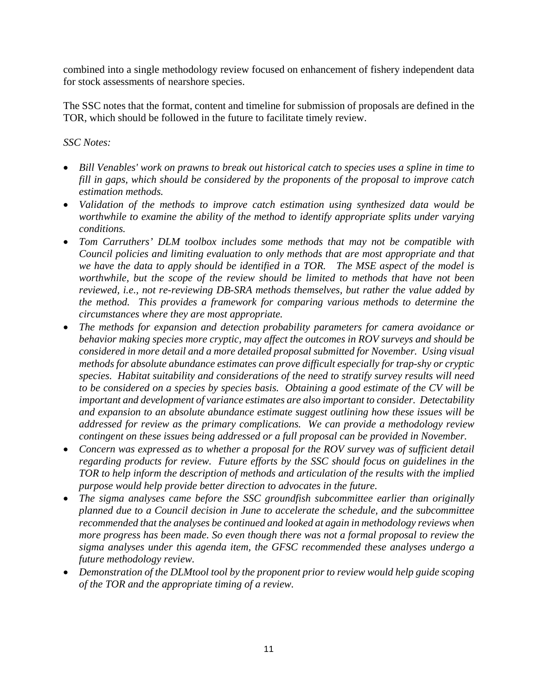combined into a single methodology review focused on enhancement of fishery independent data for stock assessments of nearshore species.

The SSC notes that the format, content and timeline for submission of proposals are defined in the TOR, which should be followed in the future to facilitate timely review.

#### *SSC Notes:*

- *Bill Venables' work on prawns to break out historical catch to species uses a spline in time to fill in gaps, which should be considered by the proponents of the proposal to improve catch estimation methods.*
- *Validation of the methods to improve catch estimation using synthesized data would be worthwhile to examine the ability of the method to identify appropriate splits under varying conditions.*
- *Tom Carruthers' DLM toolbox includes some methods that may not be compatible with Council policies and limiting evaluation to only methods that are most appropriate and that we have the data to apply should be identified in a TOR. The MSE aspect of the model is worthwhile, but the scope of the review should be limited to methods that have not been reviewed, i.e., not re-reviewing DB-SRA methods themselves, but rather the value added by the method. This provides a framework for comparing various methods to determine the circumstances where they are most appropriate.*
- *The methods for expansion and detection probability parameters for camera avoidance or behavior making species more cryptic, may affect the outcomes in ROV surveys and should be considered in more detail and a more detailed proposal submitted for November. Using visual methods for absolute abundance estimates can prove difficult especially for trap-shy or cryptic species. Habitat suitability and considerations of the need to stratify survey results will need to be considered on a species by species basis. Obtaining a good estimate of the CV will be important and development of variance estimates are also important to consider. Detectability and expansion to an absolute abundance estimate suggest outlining how these issues will be addressed for review as the primary complications. We can provide a methodology review contingent on these issues being addressed or a full proposal can be provided in November.*
- *Concern was expressed as to whether a proposal for the ROV survey was of sufficient detail regarding products for review. Future efforts by the SSC should focus on guidelines in the TOR to help inform the description of methods and articulation of the results with the implied purpose would help provide better direction to advocates in the future.*
- *The sigma analyses came before the SSC groundfish subcommittee earlier than originally planned due to a Council decision in June to accelerate the schedule, and the subcommittee recommended that the analyses be continued and looked at again in methodology reviews when more progress has been made. So even though there was not a formal proposal to review the sigma analyses under this agenda item, the GFSC recommended these analyses undergo a future methodology review.*
- *Demonstration of the DLMtool tool by the proponent prior to review would help guide scoping of the TOR and the appropriate timing of a review.*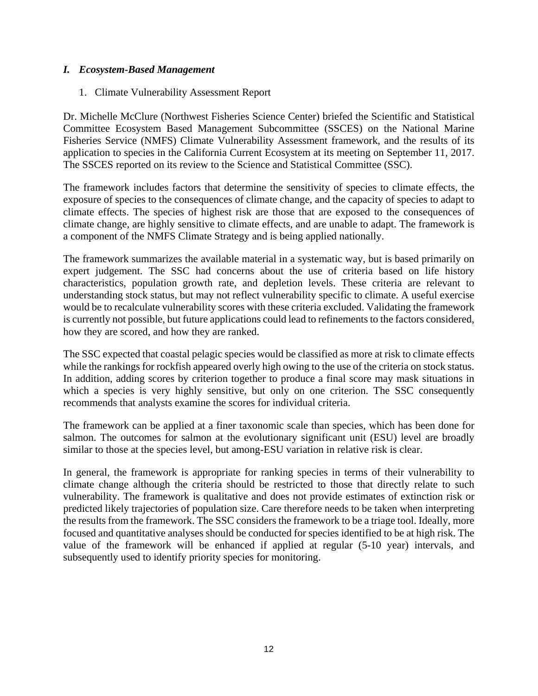### *I. Ecosystem-Based Management*

1. Climate Vulnerability Assessment Report

Dr. Michelle McClure (Northwest Fisheries Science Center) briefed the Scientific and Statistical Committee Ecosystem Based Management Subcommittee (SSCES) on the National Marine Fisheries Service (NMFS) Climate Vulnerability Assessment framework, and the results of its application to species in the California Current Ecosystem at its meeting on September 11, 2017. The SSCES reported on its review to the Science and Statistical Committee (SSC).

The framework includes factors that determine the sensitivity of species to climate effects, the exposure of species to the consequences of climate change, and the capacity of species to adapt to climate effects. The species of highest risk are those that are exposed to the consequences of climate change, are highly sensitive to climate effects, and are unable to adapt. The framework is a component of the NMFS Climate Strategy and is being applied nationally.

The framework summarizes the available material in a systematic way, but is based primarily on expert judgement. The SSC had concerns about the use of criteria based on life history characteristics, population growth rate, and depletion levels. These criteria are relevant to understanding stock status, but may not reflect vulnerability specific to climate. A useful exercise would be to recalculate vulnerability scores with these criteria excluded. Validating the framework is currently not possible, but future applications could lead to refinements to the factors considered, how they are scored, and how they are ranked.

The SSC expected that coastal pelagic species would be classified as more at risk to climate effects while the rankings for rockfish appeared overly high owing to the use of the criteria on stock status. In addition, adding scores by criterion together to produce a final score may mask situations in which a species is very highly sensitive, but only on one criterion. The SSC consequently recommends that analysts examine the scores for individual criteria.

The framework can be applied at a finer taxonomic scale than species, which has been done for salmon. The outcomes for salmon at the evolutionary significant unit (ESU) level are broadly similar to those at the species level, but among-ESU variation in relative risk is clear.

In general, the framework is appropriate for ranking species in terms of their vulnerability to climate change although the criteria should be restricted to those that directly relate to such vulnerability. The framework is qualitative and does not provide estimates of extinction risk or predicted likely trajectories of population size. Care therefore needs to be taken when interpreting the results from the framework. The SSC considers the framework to be a triage tool. Ideally, more focused and quantitative analyses should be conducted for species identified to be at high risk. The value of the framework will be enhanced if applied at regular (5-10 year) intervals, and subsequently used to identify priority species for monitoring.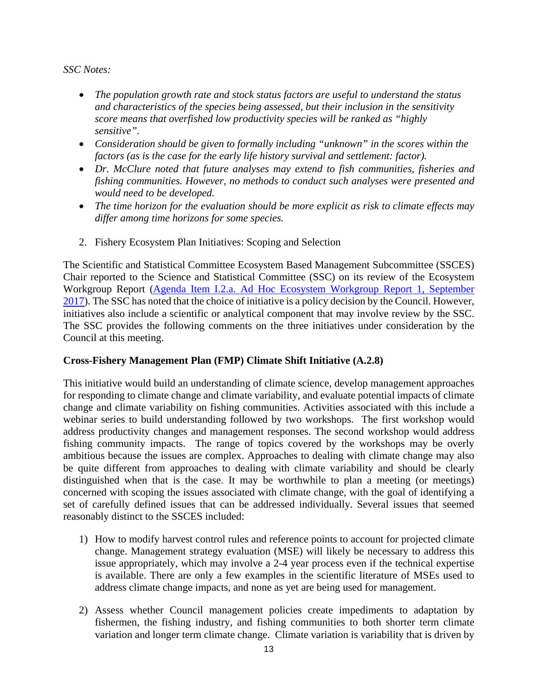#### *SSC Notes:*

- *The population growth rate and stock status factors are useful to understand the status and characteristics of the species being assessed, but their inclusion in the sensitivity score means that overfished low productivity species will be ranked as "highly sensitive".*
- Consideration should be given to formally including "unknown" in the scores within the *factors (as is the case for the early life history survival and settlement: factor).*
- *Dr. McClure noted that future analyses may extend to fish communities, fisheries and fishing communities. However, no methods to conduct such analyses were presented and would need to be developed.*
- *The time horizon for the evaluation should be more explicit as risk to climate effects may differ among time horizons for some species.*
- 2. Fishery Ecosystem Plan Initiatives: Scoping and Selection

The Scientific and Statistical Committee Ecosystem Based Management Subcommittee (SSCES) Chair reported to the Science and Statistical Committee (SSC) on its review of the Ecosystem Workgroup Report (Agenda Item I.2.a. Ad Hoc Ecosystem Workgroup Report 1, September 2017). The SSC has noted that the choice of initiative is a policy decision by the Council. However, initiatives also include a scientific or analytical component that may involve review by the SSC. The SSC provides the following comments on the three initiatives under consideration by the Council at this meeting.

# **Cross-Fishery Management Plan (FMP) Climate Shift Initiative (A.2.8)**

This initiative would build an understanding of climate science, develop management approaches for responding to climate change and climate variability, and evaluate potential impacts of climate change and climate variability on fishing communities. Activities associated with this include a webinar series to build understanding followed by two workshops. The first workshop would address productivity changes and management responses. The second workshop would address fishing community impacts. The range of topics covered by the workshops may be overly ambitious because the issues are complex. Approaches to dealing with climate change may also be quite different from approaches to dealing with climate variability and should be clearly distinguished when that is the case. It may be worthwhile to plan a meeting (or meetings) concerned with scoping the issues associated with climate change, with the goal of identifying a set of carefully defined issues that can be addressed individually. Several issues that seemed reasonably distinct to the SSCES included:

- 1) How to modify harvest control rules and reference points to account for projected climate change. Management strategy evaluation (MSE) will likely be necessary to address this issue appropriately, which may involve a 2-4 year process even if the technical expertise is available. There are only a few examples in the scientific literature of MSEs used to address climate change impacts, and none as yet are being used for management.
- 2) Assess whether Council management policies create impediments to adaptation by fishermen, the fishing industry, and fishing communities to both shorter term climate variation and longer term climate change. Climate variation is variability that is driven by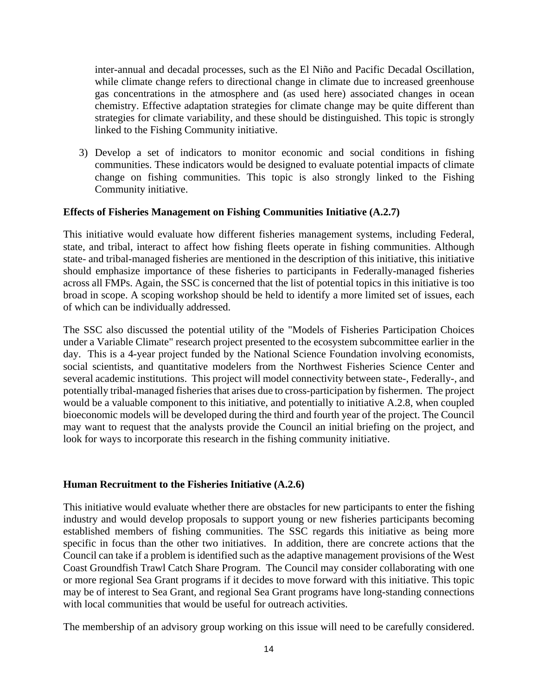inter-annual and decadal processes, such as the El Niño and Pacific Decadal Oscillation, while climate change refers to directional change in climate due to increased greenhouse gas concentrations in the atmosphere and (as used here) associated changes in ocean chemistry. Effective adaptation strategies for climate change may be quite different than strategies for climate variability, and these should be distinguished. This topic is strongly linked to the Fishing Community initiative.

3) Develop a set of indicators to monitor economic and social conditions in fishing communities. These indicators would be designed to evaluate potential impacts of climate change on fishing communities. This topic is also strongly linked to the Fishing Community initiative.

#### **Effects of Fisheries Management on Fishing Communities Initiative (A.2.7)**

This initiative would evaluate how different fisheries management systems, including Federal, state, and tribal, interact to affect how fishing fleets operate in fishing communities. Although state- and tribal-managed fisheries are mentioned in the description of this initiative, this initiative should emphasize importance of these fisheries to participants in Federally-managed fisheries across all FMPs. Again, the SSC is concerned that the list of potential topics in this initiative is too broad in scope. A scoping workshop should be held to identify a more limited set of issues, each of which can be individually addressed.

The SSC also discussed the potential utility of the "Models of Fisheries Participation Choices under a Variable Climate" research project presented to the ecosystem subcommittee earlier in the day. This is a 4-year project funded by the National Science Foundation involving economists, social scientists, and quantitative modelers from the Northwest Fisheries Science Center and several academic institutions. This project will model connectivity between state-, Federally-, and potentially tribal-managed fisheries that arises due to cross-participation by fishermen. The project would be a valuable component to this initiative, and potentially to initiative A.2.8, when coupled bioeconomic models will be developed during the third and fourth year of the project. The Council may want to request that the analysts provide the Council an initial briefing on the project, and look for ways to incorporate this research in the fishing community initiative.

#### **Human Recruitment to the Fisheries Initiative (A.2.6)**

This initiative would evaluate whether there are obstacles for new participants to enter the fishing industry and would develop proposals to support young or new fisheries participants becoming established members of fishing communities. The SSC regards this initiative as being more specific in focus than the other two initiatives. In addition, there are concrete actions that the Council can take if a problem is identified such as the adaptive management provisions of the West Coast Groundfish Trawl Catch Share Program. The Council may consider collaborating with one or more regional Sea Grant programs if it decides to move forward with this initiative. This topic may be of interest to Sea Grant, and regional Sea Grant programs have long-standing connections with local communities that would be useful for outreach activities.

The membership of an advisory group working on this issue will need to be carefully considered.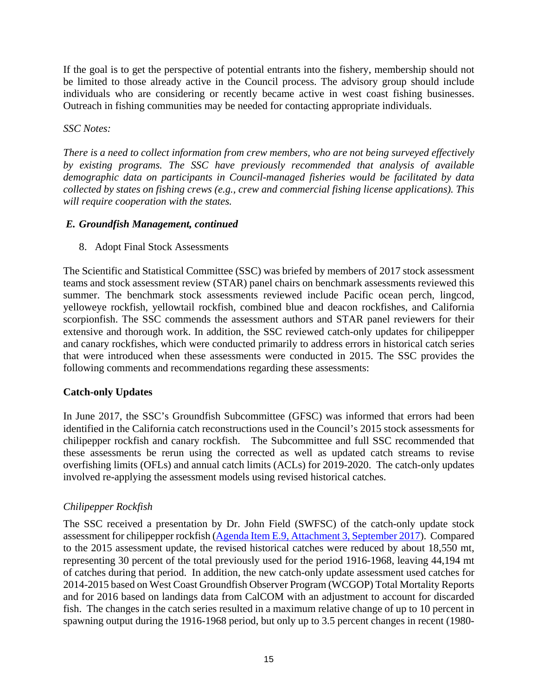If the goal is to get the perspective of potential entrants into the fishery, membership should not be limited to those already active in the Council process. The advisory group should include individuals who are considering or recently became active in west coast fishing businesses. Outreach in fishing communities may be needed for contacting appropriate individuals.

*SSC Notes:* 

*There is a need to collect information from crew members, who are not being surveyed effectively by existing programs. The SSC have previously recommended that analysis of available demographic data on participants in Council-managed fisheries would be facilitated by data collected by states on fishing crews (e.g., crew and commercial fishing license applications). This will require cooperation with the states.*

## *E. Groundfish Management, continued*

8. Adopt Final Stock Assessments

The Scientific and Statistical Committee (SSC) was briefed by members of 2017 stock assessment teams and stock assessment review (STAR) panel chairs on benchmark assessments reviewed this summer. The benchmark stock assessments reviewed include Pacific ocean perch, lingcod, yelloweye rockfish, yellowtail rockfish, combined blue and deacon rockfishes, and California scorpionfish. The SSC commends the assessment authors and STAR panel reviewers for their extensive and thorough work. In addition, the SSC reviewed catch-only updates for chilipepper and canary rockfishes, which were conducted primarily to address errors in historical catch series that were introduced when these assessments were conducted in 2015. The SSC provides the following comments and recommendations regarding these assessments:

# **Catch-only Updates**

In June 2017, the SSC's Groundfish Subcommittee (GFSC) was informed that errors had been identified in the California catch reconstructions used in the Council's 2015 stock assessments for chilipepper rockfish and canary rockfish. The Subcommittee and full SSC recommended that these assessments be rerun using the corrected as well as updated catch streams to revise overfishing limits (OFLs) and annual catch limits (ACLs) for 2019-2020. The catch-only updates involved re-applying the assessment models using revised historical catches.

# *Chilipepper Rockfish*

The SSC received a presentation by Dr. John Field (SWFSC) of the catch-only update stock assessment for chilipepper rockfish (Agenda Item E.9, Attachment 3, September 2017). Compared to the 2015 assessment update, the revised historical catches were reduced by about 18,550 mt, representing 30 percent of the total previously used for the period 1916-1968, leaving 44,194 mt of catches during that period. In addition, the new catch-only update assessment used catches for 2014-2015 based on West Coast Groundfish Observer Program (WCGOP) Total Mortality Reports and for 2016 based on landings data from CalCOM with an adjustment to account for discarded fish. The changes in the catch series resulted in a maximum relative change of up to 10 percent in spawning output during the 1916-1968 period, but only up to 3.5 percent changes in recent (1980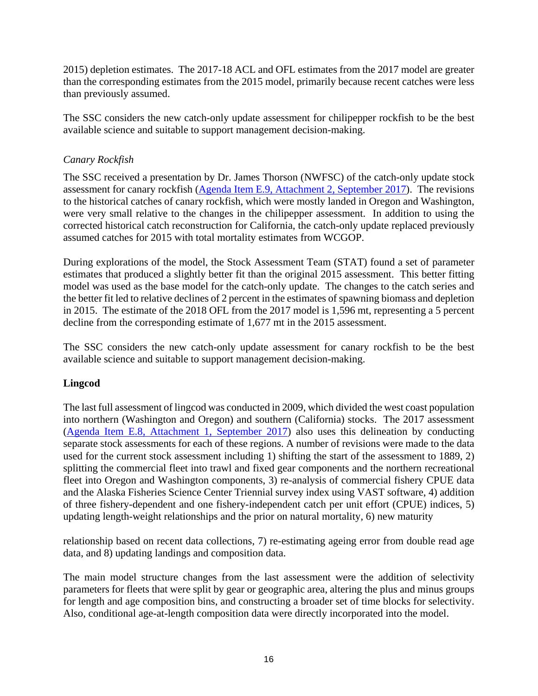2015) depletion estimates. The 2017-18 ACL and OFL estimates from the 2017 model are greater than the corresponding estimates from the 2015 model, primarily because recent catches were less than previously assumed.

The SSC considers the new catch-only update assessment for chilipepper rockfish to be the best available science and suitable to support management decision-making.

# *Canary Rockfish*

The SSC received a presentation by Dr. James Thorson (NWFSC) of the catch-only update stock assessment for canary rockfish (Agenda Item E.9, Attachment 2, September 2017). The revisions to the historical catches of canary rockfish, which were mostly landed in Oregon and Washington, were very small relative to the changes in the chilipepper assessment. In addition to using the corrected historical catch reconstruction for California, the catch-only update replaced previously assumed catches for 2015 with total mortality estimates from WCGOP.

During explorations of the model, the Stock Assessment Team (STAT) found a set of parameter estimates that produced a slightly better fit than the original 2015 assessment. This better fitting model was used as the base model for the catch-only update. The changes to the catch series and the better fit led to relative declines of 2 percent in the estimates of spawning biomass and depletion in 2015. The estimate of the 2018 OFL from the 2017 model is 1,596 mt, representing a 5 percent decline from the corresponding estimate of 1,677 mt in the 2015 assessment.

The SSC considers the new catch-only update assessment for canary rockfish to be the best available science and suitable to support management decision-making.

# **Lingcod**

The last full assessment of lingcod was conducted in 2009, which divided the west coast population into northern (Washington and Oregon) and southern (California) stocks. The 2017 assessment (Agenda Item E.8, Attachment 1, September 2017) also uses this delineation by conducting separate stock assessments for each of these regions. A number of revisions were made to the data used for the current stock assessment including 1) shifting the start of the assessment to 1889, 2) splitting the commercial fleet into trawl and fixed gear components and the northern recreational fleet into Oregon and Washington components, 3) re-analysis of commercial fishery CPUE data and the Alaska Fisheries Science Center Triennial survey index using VAST software, 4) addition of three fishery-dependent and one fishery-independent catch per unit effort (CPUE) indices, 5) updating length-weight relationships and the prior on natural mortality, 6) new maturity

relationship based on recent data collections, 7) re-estimating ageing error from double read age data, and 8) updating landings and composition data.

The main model structure changes from the last assessment were the addition of selectivity parameters for fleets that were split by gear or geographic area, altering the plus and minus groups for length and age composition bins, and constructing a broader set of time blocks for selectivity. Also, conditional age-at-length composition data were directly incorporated into the model.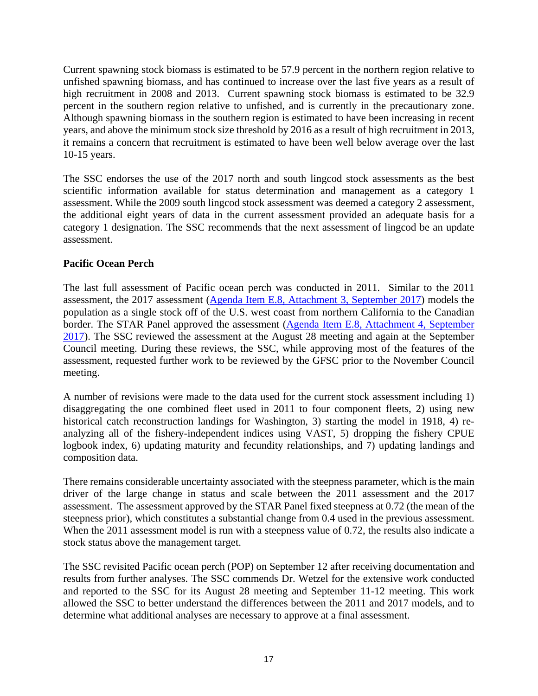Current spawning stock biomass is estimated to be 57.9 percent in the northern region relative to unfished spawning biomass, and has continued to increase over the last five years as a result of high recruitment in 2008 and 2013. Current spawning stock biomass is estimated to be 32.9 percent in the southern region relative to unfished, and is currently in the precautionary zone. Although spawning biomass in the southern region is estimated to have been increasing in recent years, and above the minimum stock size threshold by 2016 as a result of high recruitment in 2013, it remains a concern that recruitment is estimated to have been well below average over the last 10-15 years.

The SSC endorses the use of the 2017 north and south lingcod stock assessments as the best scientific information available for status determination and management as a category 1 assessment. While the 2009 south lingcod stock assessment was deemed a category 2 assessment, the additional eight years of data in the current assessment provided an adequate basis for a category 1 designation. The SSC recommends that the next assessment of lingcod be an update assessment.

# **Pacific Ocean Perch**

The last full assessment of Pacific ocean perch was conducted in 2011. Similar to the 2011 assessment, the 2017 assessment (Agenda Item E.8, Attachment 3, September 2017) models the population as a single stock off of the U.S. west coast from northern California to the Canadian border. The STAR Panel approved the assessment (Agenda Item E.8, Attachment 4, September 2017). The SSC reviewed the assessment at the August 28 meeting and again at the September Council meeting. During these reviews, the SSC, while approving most of the features of the assessment, requested further work to be reviewed by the GFSC prior to the November Council meeting.

A number of revisions were made to the data used for the current stock assessment including 1) disaggregating the one combined fleet used in 2011 to four component fleets, 2) using new historical catch reconstruction landings for Washington, 3) starting the model in 1918, 4) reanalyzing all of the fishery-independent indices using VAST, 5) dropping the fishery CPUE logbook index, 6) updating maturity and fecundity relationships, and 7) updating landings and composition data.

There remains considerable uncertainty associated with the steepness parameter, which is the main driver of the large change in status and scale between the 2011 assessment and the 2017 assessment. The assessment approved by the STAR Panel fixed steepness at 0.72 (the mean of the steepness prior), which constitutes a substantial change from 0.4 used in the previous assessment. When the 2011 assessment model is run with a steepness value of 0.72, the results also indicate a stock status above the management target.

The SSC revisited Pacific ocean perch (POP) on September 12 after receiving documentation and results from further analyses. The SSC commends Dr. Wetzel for the extensive work conducted and reported to the SSC for its August 28 meeting and September 11-12 meeting. This work allowed the SSC to better understand the differences between the 2011 and 2017 models, and to determine what additional analyses are necessary to approve at a final assessment.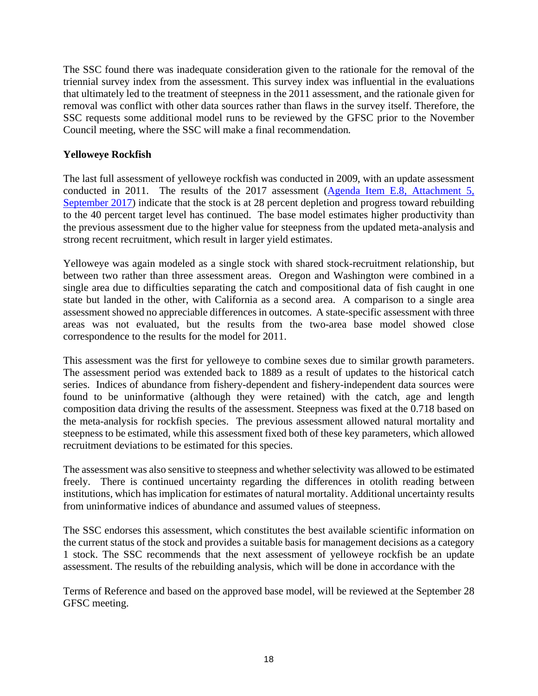The SSC found there was inadequate consideration given to the rationale for the removal of the triennial survey index from the assessment. This survey index was influential in the evaluations that ultimately led to the treatment of steepness in the 2011 assessment, and the rationale given for removal was conflict with other data sources rather than flaws in the survey itself. Therefore, the SSC requests some additional model runs to be reviewed by the GFSC prior to the November Council meeting, where the SSC will make a final recommendation*.* 

# **Yelloweye Rockfish**

The last full assessment of yelloweye rockfish was conducted in 2009, with an update assessment conducted in 2011. The results of the 2017 assessment (Agenda Item E.8, Attachment 5, September 2017) indicate that the stock is at 28 percent depletion and progress toward rebuilding to the 40 percent target level has continued. The base model estimates higher productivity than the previous assessment due to the higher value for steepness from the updated meta-analysis and strong recent recruitment, which result in larger yield estimates.

Yelloweye was again modeled as a single stock with shared stock-recruitment relationship, but between two rather than three assessment areas. Oregon and Washington were combined in a single area due to difficulties separating the catch and compositional data of fish caught in one state but landed in the other, with California as a second area. A comparison to a single area assessment showed no appreciable differences in outcomes. A state-specific assessment with three areas was not evaluated, but the results from the two-area base model showed close correspondence to the results for the model for 2011.

This assessment was the first for yelloweye to combine sexes due to similar growth parameters. The assessment period was extended back to 1889 as a result of updates to the historical catch series. Indices of abundance from fishery-dependent and fishery-independent data sources were found to be uninformative (although they were retained) with the catch, age and length composition data driving the results of the assessment. Steepness was fixed at the 0.718 based on the meta-analysis for rockfish species. The previous assessment allowed natural mortality and steepness to be estimated, while this assessment fixed both of these key parameters, which allowed recruitment deviations to be estimated for this species.

The assessment was also sensitive to steepness and whether selectivity was allowed to be estimated freely. There is continued uncertainty regarding the differences in otolith reading between institutions, which has implication for estimates of natural mortality. Additional uncertainty results from uninformative indices of abundance and assumed values of steepness.

The SSC endorses this assessment, which constitutes the best available scientific information on the current status of the stock and provides a suitable basis for management decisions as a category 1 stock. The SSC recommends that the next assessment of yelloweye rockfish be an update assessment. The results of the rebuilding analysis, which will be done in accordance with the

Terms of Reference and based on the approved base model, will be reviewed at the September 28 GFSC meeting.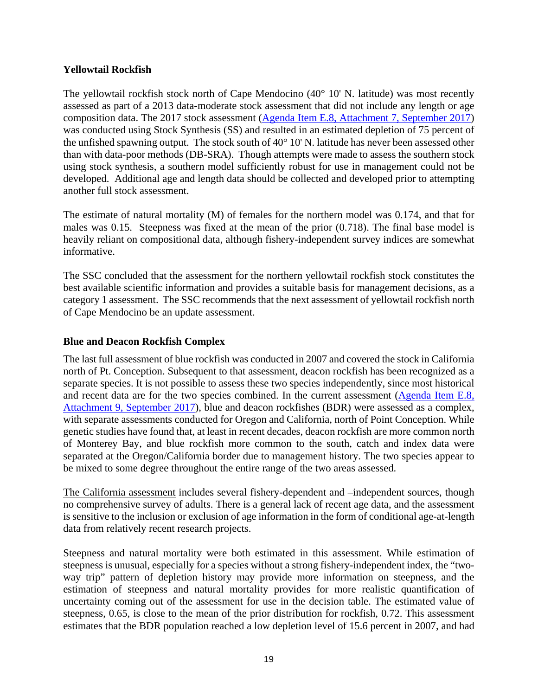# **Yellowtail Rockfish**

The yellowtail rockfish stock north of Cape Mendocino (40° 10' N. latitude) was most recently assessed as part of a 2013 data-moderate stock assessment that did not include any length or age composition data. The 2017 stock assessment (Agenda Item E.8, Attachment 7, September 2017) was conducted using Stock Synthesis (SS) and resulted in an estimated depletion of 75 percent of the unfished spawning output. The stock south of 40° 10' N. latitude has never been assessed other than with data-poor methods (DB-SRA). Though attempts were made to assess the southern stock using stock synthesis, a southern model sufficiently robust for use in management could not be developed. Additional age and length data should be collected and developed prior to attempting another full stock assessment.

The estimate of natural mortality (M) of females for the northern model was 0.174, and that for males was 0.15. Steepness was fixed at the mean of the prior (0.718). The final base model is heavily reliant on compositional data, although fishery-independent survey indices are somewhat informative.

The SSC concluded that the assessment for the northern yellowtail rockfish stock constitutes the best available scientific information and provides a suitable basis for management decisions, as a category 1 assessment. The SSC recommends that the next assessment of yellowtail rockfish north of Cape Mendocino be an update assessment.

## **Blue and Deacon Rockfish Complex**

The last full assessment of blue rockfish was conducted in 2007 and covered the stock in California north of Pt. Conception. Subsequent to that assessment, deacon rockfish has been recognized as a separate species. It is not possible to assess these two species independently, since most historical and recent data are for the two species combined. In the current assessment (Agenda Item E.8, Attachment 9, September 2017), blue and deacon rockfishes (BDR) were assessed as a complex, with separate assessments conducted for Oregon and California, north of Point Conception. While genetic studies have found that, at least in recent decades, deacon rockfish are more common north of Monterey Bay, and blue rockfish more common to the south, catch and index data were separated at the Oregon/California border due to management history. The two species appear to be mixed to some degree throughout the entire range of the two areas assessed.

The California assessment includes several fishery-dependent and –independent sources, though no comprehensive survey of adults. There is a general lack of recent age data, and the assessment is sensitive to the inclusion or exclusion of age information in the form of conditional age-at-length data from relatively recent research projects.

Steepness and natural mortality were both estimated in this assessment. While estimation of steepness is unusual, especially for a species without a strong fishery-independent index, the "twoway trip" pattern of depletion history may provide more information on steepness, and the estimation of steepness and natural mortality provides for more realistic quantification of uncertainty coming out of the assessment for use in the decision table. The estimated value of steepness, 0.65, is close to the mean of the prior distribution for rockfish, 0.72. This assessment estimates that the BDR population reached a low depletion level of 15.6 percent in 2007, and had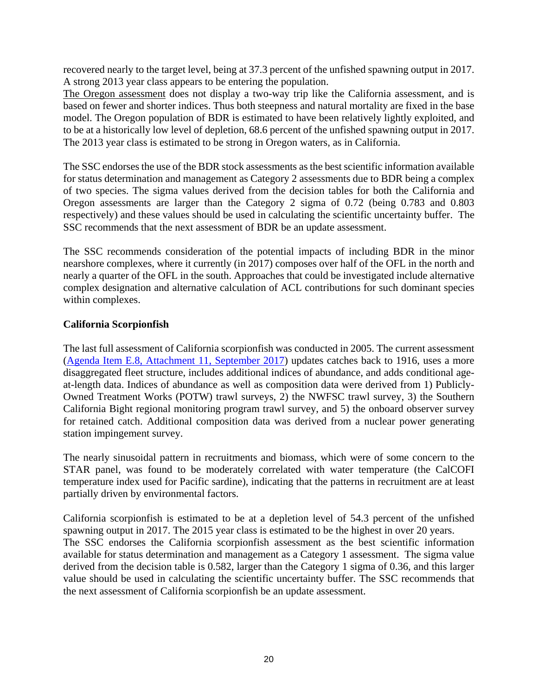recovered nearly to the target level, being at 37.3 percent of the unfished spawning output in 2017. A strong 2013 year class appears to be entering the population.

The Oregon assessment does not display a two-way trip like the California assessment, and is based on fewer and shorter indices. Thus both steepness and natural mortality are fixed in the base model. The Oregon population of BDR is estimated to have been relatively lightly exploited, and to be at a historically low level of depletion, 68.6 percent of the unfished spawning output in 2017. The 2013 year class is estimated to be strong in Oregon waters, as in California.

The SSC endorses the use of the BDR stock assessments as the best scientific information available for status determination and management as Category 2 assessments due to BDR being a complex of two species. The sigma values derived from the decision tables for both the California and Oregon assessments are larger than the Category 2 sigma of 0.72 (being 0.783 and 0.803 respectively) and these values should be used in calculating the scientific uncertainty buffer. The SSC recommends that the next assessment of BDR be an update assessment.

The SSC recommends consideration of the potential impacts of including BDR in the minor nearshore complexes, where it currently (in 2017) composes over half of the OFL in the north and nearly a quarter of the OFL in the south. Approaches that could be investigated include alternative complex designation and alternative calculation of ACL contributions for such dominant species within complexes.

## **California Scorpionfish**

The last full assessment of California scorpionfish was conducted in 2005. The current assessment (Agenda Item E.8, Attachment 11, September 2017) updates catches back to 1916, uses a more disaggregated fleet structure, includes additional indices of abundance, and adds conditional ageat-length data. Indices of abundance as well as composition data were derived from 1) Publicly-Owned Treatment Works (POTW) trawl surveys, 2) the NWFSC trawl survey, 3) the Southern California Bight regional monitoring program trawl survey, and 5) the onboard observer survey for retained catch. Additional composition data was derived from a nuclear power generating station impingement survey.

The nearly sinusoidal pattern in recruitments and biomass, which were of some concern to the STAR panel, was found to be moderately correlated with water temperature (the CalCOFI temperature index used for Pacific sardine), indicating that the patterns in recruitment are at least partially driven by environmental factors.

California scorpionfish is estimated to be at a depletion level of 54.3 percent of the unfished spawning output in 2017. The 2015 year class is estimated to be the highest in over 20 years. The SSC endorses the California scorpionfish assessment as the best scientific information available for status determination and management as a Category 1 assessment. The sigma value derived from the decision table is 0.582, larger than the Category 1 sigma of 0.36, and this larger value should be used in calculating the scientific uncertainty buffer. The SSC recommends that the next assessment of California scorpionfish be an update assessment.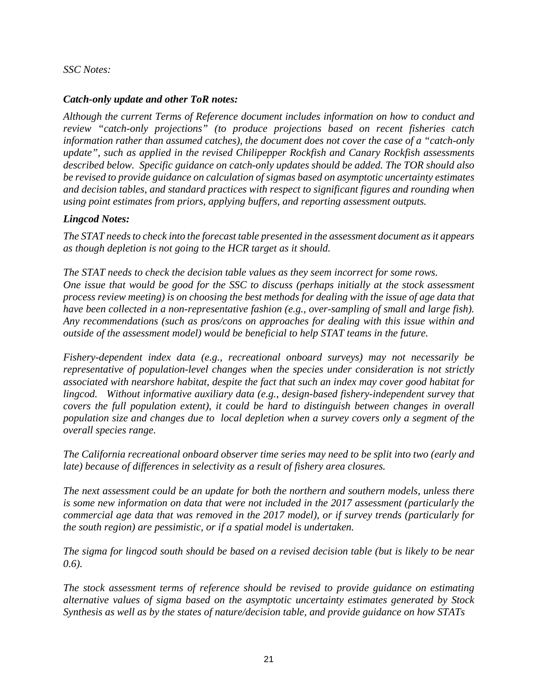### *SSC Notes:*

## *Catch-only update and other ToR notes:*

*Although the current Terms of Reference document includes information on how to conduct and review "catch-only projections" (to produce projections based on recent fisheries catch information rather than assumed catches), the document does not cover the case of a "catch-only update", such as applied in the revised Chilipepper Rockfish and Canary Rockfish assessments described below. Specific guidance on catch-only updates should be added. The TOR should also be revised to provide guidance on calculation of sigmas based on asymptotic uncertainty estimates and decision tables, and standard practices with respect to significant figures and rounding when using point estimates from priors, applying buffers, and reporting assessment outputs.* 

#### *Lingcod Notes:*

*The STAT needs to check into the forecast table presented in the assessment document as it appears as though depletion is not going to the HCR target as it should.* 

*The STAT needs to check the decision table values as they seem incorrect for some rows. One issue that would be good for the SSC to discuss (perhaps initially at the stock assessment process review meeting) is on choosing the best methods for dealing with the issue of age data that have been collected in a non-representative fashion (e.g., over-sampling of small and large fish). Any recommendations (such as pros/cons on approaches for dealing with this issue within and outside of the assessment model) would be beneficial to help STAT teams in the future.* 

*Fishery-dependent index data (e.g., recreational onboard surveys) may not necessarily be representative of population-level changes when the species under consideration is not strictly associated with nearshore habitat, despite the fact that such an index may cover good habitat for lingcod. Without informative auxiliary data (e.g., design-based fishery-independent survey that covers the full population extent), it could be hard to distinguish between changes in overall population size and changes due to local depletion when a survey covers only a segment of the overall species range.* 

*The California recreational onboard observer time series may need to be split into two (early and late) because of differences in selectivity as a result of fishery area closures.* 

*The next assessment could be an update for both the northern and southern models, unless there is some new information on data that were not included in the 2017 assessment (particularly the commercial age data that was removed in the 2017 model), or if survey trends (particularly for the south region) are pessimistic, or if a spatial model is undertaken.* 

*The sigma for lingcod south should be based on a revised decision table (but is likely to be near 0.6).* 

*The stock assessment terms of reference should be revised to provide guidance on estimating alternative values of sigma based on the asymptotic uncertainty estimates generated by Stock Synthesis as well as by the states of nature/decision table, and provide guidance on how STATs*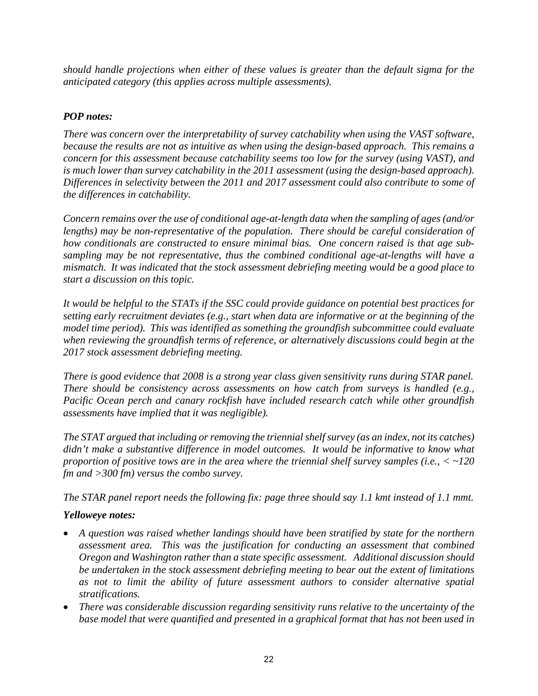*should handle projections when either of these values is greater than the default sigma for the anticipated category (this applies across multiple assessments).* 

# *POP notes:*

*There was concern over the interpretability of survey catchability when using the VAST software, because the results are not as intuitive as when using the design-based approach. This remains a concern for this assessment because catchability seems too low for the survey (using VAST), and is much lower than survey catchability in the 2011 assessment (using the design-based approach). Differences in selectivity between the 2011 and 2017 assessment could also contribute to some of the differences in catchability.* 

*Concern remains over the use of conditional age-at-length data when the sampling of ages (and/or lengths) may be non-representative of the population. There should be careful consideration of how conditionals are constructed to ensure minimal bias. One concern raised is that age subsampling may be not representative, thus the combined conditional age-at-lengths will have a mismatch. It was indicated that the stock assessment debriefing meeting would be a good place to start a discussion on this topic.* 

*It would be helpful to the STATs if the SSC could provide guidance on potential best practices for setting early recruitment deviates (e.g., start when data are informative or at the beginning of the model time period). This was identified as something the groundfish subcommittee could evaluate when reviewing the groundfish terms of reference, or alternatively discussions could begin at the 2017 stock assessment debriefing meeting.* 

*There is good evidence that 2008 is a strong year class given sensitivity runs during STAR panel. There should be consistency across assessments on how catch from surveys is handled (e.g., Pacific Ocean perch and canary rockfish have included research catch while other groundfish assessments have implied that it was negligible).* 

*The STAT argued that including or removing the triennial shelf survey (as an index, not its catches)*  didn't make a substantive difference in model outcomes. It would be informative to know what *proportion of positive tows are in the area where the triennial shelf survey samples (i.e., < ~120 fm and >300 fm) versus the combo survey.* 

*The STAR panel report needs the following fix: page three should say 1.1 kmt instead of 1.1 mmt.* 

# *Yelloweye notes:*

- *A question was raised whether landings should have been stratified by state for the northern assessment area. This was the justification for conducting an assessment that combined Oregon and Washington rather than a state specific assessment. Additional discussion should be undertaken in the stock assessment debriefing meeting to bear out the extent of limitations as not to limit the ability of future assessment authors to consider alternative spatial stratifications.*
- *There was considerable discussion regarding sensitivity runs relative to the uncertainty of the base model that were quantified and presented in a graphical format that has not been used in*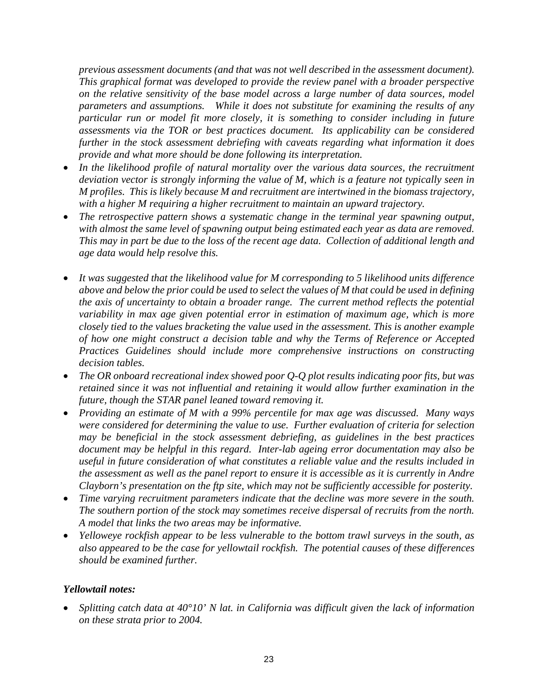*previous assessment documents (and that was not well described in the assessment document). This graphical format was developed to provide the review panel with a broader perspective on the relative sensitivity of the base model across a large number of data sources, model parameters and assumptions. While it does not substitute for examining the results of any particular run or model fit more closely, it is something to consider including in future assessments via the TOR or best practices document. Its applicability can be considered further in the stock assessment debriefing with caveats regarding what information it does provide and what more should be done following its interpretation.* 

- In the likelihood profile of natural mortality over the various data sources, the recruitment *deviation vector is strongly informing the value of M, which is a feature not typically seen in M profiles. This is likely because M and recruitment are intertwined in the biomass trajectory, with a higher M requiring a higher recruitment to maintain an upward trajectory.*
- *The retrospective pattern shows a systematic change in the terminal year spawning output, with almost the same level of spawning output being estimated each year as data are removed. This may in part be due to the loss of the recent age data. Collection of additional length and age data would help resolve this.*
- *It was suggested that the likelihood value for M corresponding to 5 likelihood units difference above and below the prior could be used to select the values of M that could be used in defining the axis of uncertainty to obtain a broader range. The current method reflects the potential variability in max age given potential error in estimation of maximum age, which is more closely tied to the values bracketing the value used in the assessment. This is another example of how one might construct a decision table and why the Terms of Reference or Accepted Practices Guidelines should include more comprehensive instructions on constructing decision tables.*
- *The OR onboard recreational index showed poor Q-Q plot results indicating poor fits, but was retained since it was not influential and retaining it would allow further examination in the future, though the STAR panel leaned toward removing it.*
- *Providing an estimate of M with a 99% percentile for max age was discussed. Many ways were considered for determining the value to use. Further evaluation of criteria for selection may be beneficial in the stock assessment debriefing, as guidelines in the best practices document may be helpful in this regard. Inter-lab ageing error documentation may also be useful in future consideration of what constitutes a reliable value and the results included in the assessment as well as the panel report to ensure it is accessible as it is currently in Andre Clayborn's presentation on the ftp site, which may not be sufficiently accessible for posterity.*
- *Time varying recruitment parameters indicate that the decline was more severe in the south. The southern portion of the stock may sometimes receive dispersal of recruits from the north. A model that links the two areas may be informative.*
- *Yelloweye rockfish appear to be less vulnerable to the bottom trawl surveys in the south, as also appeared to be the case for yellowtail rockfish. The potential causes of these differences should be examined further.*

# *Yellowtail notes:*

 *Splitting catch data at 40°10' N lat. in California was difficult given the lack of information on these strata prior to 2004.*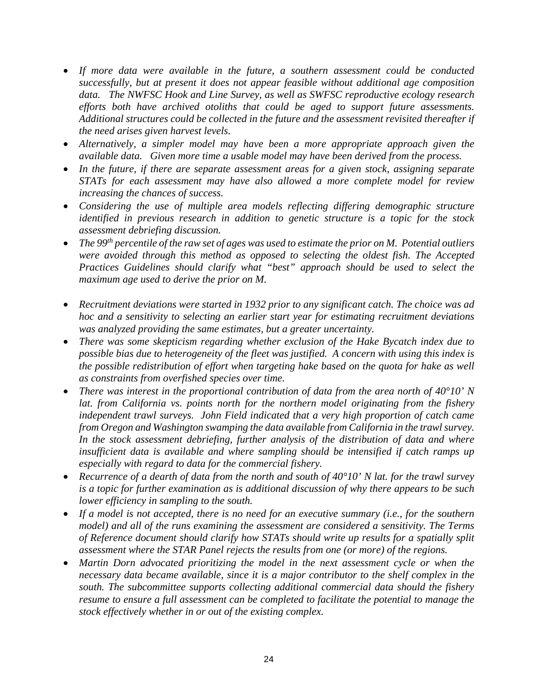- *If more data were available in the future, a southern assessment could be conducted successfully, but at present it does not appear feasible without additional age composition data. The NWFSC Hook and Line Survey, as well as SWFSC reproductive ecology research efforts both have archived otoliths that could be aged to support future assessments. Additional structures could be collected in the future and the assessment revisited thereafter if the need arises given harvest levels.*
- *Alternatively, a simpler model may have been a more appropriate approach given the available data. Given more time a usable model may have been derived from the process.*
- *In the future, if there are separate assessment areas for a given stock, assigning separate STATs for each assessment may have also allowed a more complete model for review increasing the chances of success.*
- *Considering the use of multiple area models reflecting differing demographic structure identified in previous research in addition to genetic structure is a topic for the stock assessment debriefing discussion.*
- *The 99th percentile of the raw set of ages was used to estimate the prior on M. Potential outliers were avoided through this method as opposed to selecting the oldest fish. The Accepted Practices Guidelines should clarify what "best" approach should be used to select the maximum age used to derive the prior on M.*
- *Recruitment deviations were started in 1932 prior to any significant catch. The choice was ad hoc and a sensitivity to selecting an earlier start year for estimating recruitment deviations was analyzed providing the same estimates, but a greater uncertainty.*
- *There was some skepticism regarding whether exclusion of the Hake Bycatch index due to possible bias due to heterogeneity of the fleet was justified. A concern with using this index is the possible redistribution of effort when targeting hake based on the quota for hake as well as constraints from overfished species over time.*
- *There was interest in the proportional contribution of data from the area north of 40°10' N*  lat. from California vs. points north for the northern model originating from the fishery *independent trawl surveys. John Field indicated that a very high proportion of catch came from Oregon and Washington swamping the data available from California in the trawl survey. In the stock assessment debriefing, further analysis of the distribution of data and where insufficient data is available and where sampling should be intensified if catch ramps up especially with regard to data for the commercial fishery.*
- *Recurrence of a dearth of data from the north and south of 40°10' N lat. for the trawl survey is a topic for further examination as is additional discussion of why there appears to be such lower efficiency in sampling to the south.*
- *If a model is not accepted, there is no need for an executive summary (i.e., for the southern model) and all of the runs examining the assessment are considered a sensitivity. The Terms of Reference document should clarify how STATs should write up results for a spatially split assessment where the STAR Panel rejects the results from one (or more) of the regions.*
- *Martin Dorn advocated prioritizing the model in the next assessment cycle or when the necessary data became available, since it is a major contributor to the shelf complex in the south. The subcommittee supports collecting additional commercial data should the fishery resume to ensure a full assessment can be completed to facilitate the potential to manage the stock effectively whether in or out of the existing complex.*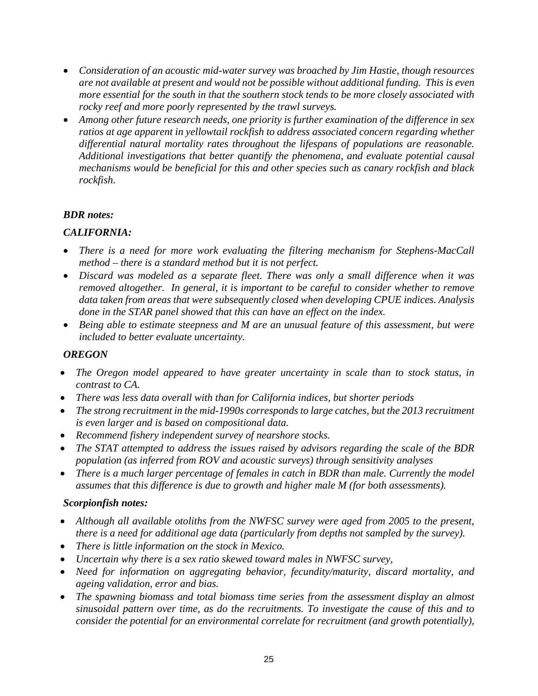- *Consideration of an acoustic mid-water survey was broached by Jim Hastie, though resources are not available at present and would not be possible without additional funding. This is even more essential for the south in that the southern stock tends to be more closely associated with rocky reef and more poorly represented by the trawl surveys.*
- *Among other future research needs, one priority is further examination of the difference in sex ratios at age apparent in yellowtail rockfish to address associated concern regarding whether differential natural mortality rates throughout the lifespans of populations are reasonable. Additional investigations that better quantify the phenomena, and evaluate potential causal mechanisms would be beneficial for this and other species such as canary rockfish and black rockfish.*

# *BDR notes:*

# *CALIFORNIA:*

- *There is a need for more work evaluating the filtering mechanism for Stephens-MacCall method – there is a standard method but it is not perfect.*
- *Discard was modeled as a separate fleet. There was only a small difference when it was removed altogether. In general, it is important to be careful to consider whether to remove data taken from areas that were subsequently closed when developing CPUE indices. Analysis done in the STAR panel showed that this can have an effect on the index.*
- *Being able to estimate steepness and M are an unusual feature of this assessment, but were included to better evaluate uncertainty.*

# *OREGON*

- *The Oregon model appeared to have greater uncertainty in scale than to stock status, in contrast to CA.*
- *There was less data overall with than for California indices, but shorter periods*
- *The strong recruitment in the mid-1990s corresponds to large catches, but the 2013 recruitment is even larger and is based on compositional data.*
- *Recommend fishery independent survey of nearshore stocks.*
- *The STAT attempted to address the issues raised by advisors regarding the scale of the BDR population (as inferred from ROV and acoustic surveys) through sensitivity analyses*
- *There is a much larger percentage of females in catch in BDR than male. Currently the model assumes that this difference is due to growth and higher male M (for both assessments).*

# *Scorpionfish notes:*

- *Although all available otoliths from the NWFSC survey were aged from 2005 to the present, there is a need for additional age data (particularly from depths not sampled by the survey).*
- *There is little information on the stock in Mexico.*
- *Uncertain why there is a sex ratio skewed toward males in NWFSC survey,*
- *Need for information on aggregating behavior, fecundity/maturity, discard mortality, and ageing validation, error and bias.*
- *The spawning biomass and total biomass time series from the assessment display an almost sinusoidal pattern over time, as do the recruitments. To investigate the cause of this and to consider the potential for an environmental correlate for recruitment (and growth potentially),*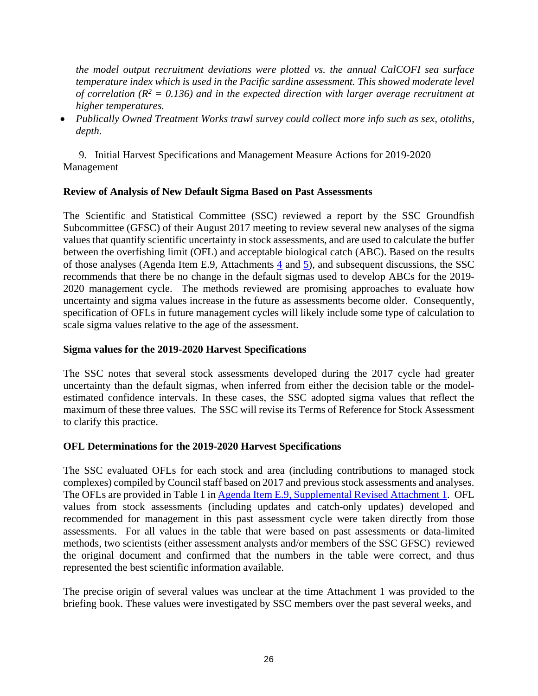*the model output recruitment deviations were plotted vs. the annual CalCOFI sea surface temperature index which is used in the Pacific sardine assessment. This showed moderate level*  of correlation ( $R^2 = 0.136$ ) and in the expected direction with larger average recruitment at *higher temperatures.* 

 *Publically Owned Treatment Works trawl survey could collect more info such as sex, otoliths, depth.* 

 9. Initial Harvest Specifications and Management Measure Actions for 2019-2020 Management

#### **Review of Analysis of New Default Sigma Based on Past Assessments**

The Scientific and Statistical Committee (SSC) reviewed a report by the SSC Groundfish Subcommittee (GFSC) of their August 2017 meeting to review several new analyses of the sigma values that quantify scientific uncertainty in stock assessments, and are used to calculate the buffer between the overfishing limit (OFL) and acceptable biological catch (ABC). Based on the results of those analyses (Agenda Item E.9, Attachments  $\frac{4}{3}$  and  $\frac{5}{2}$ ), and subsequent discussions, the SSC recommends that there be no change in the default sigmas used to develop ABCs for the 2019- 2020 management cycle. The methods reviewed are promising approaches to evaluate how uncertainty and sigma values increase in the future as assessments become older. Consequently, specification of OFLs in future management cycles will likely include some type of calculation to scale sigma values relative to the age of the assessment.

#### **Sigma values for the 2019-2020 Harvest Specifications**

The SSC notes that several stock assessments developed during the 2017 cycle had greater uncertainty than the default sigmas, when inferred from either the decision table or the modelestimated confidence intervals. In these cases, the SSC adopted sigma values that reflect the maximum of these three values. The SSC will revise its Terms of Reference for Stock Assessment to clarify this practice.

#### **OFL Determinations for the 2019-2020 Harvest Specifications**

The SSC evaluated OFLs for each stock and area (including contributions to managed stock complexes) compiled by Council staff based on 2017 and previous stock assessments and analyses. The OFLs are provided in Table 1 in Agenda Item E.9, Supplemental Revised Attachment 1. OFL values from stock assessments (including updates and catch-only updates) developed and recommended for management in this past assessment cycle were taken directly from those assessments. For all values in the table that were based on past assessments or data-limited methods, two scientists (either assessment analysts and/or members of the SSC GFSC) reviewed the original document and confirmed that the numbers in the table were correct, and thus represented the best scientific information available.

The precise origin of several values was unclear at the time Attachment 1 was provided to the briefing book. These values were investigated by SSC members over the past several weeks, and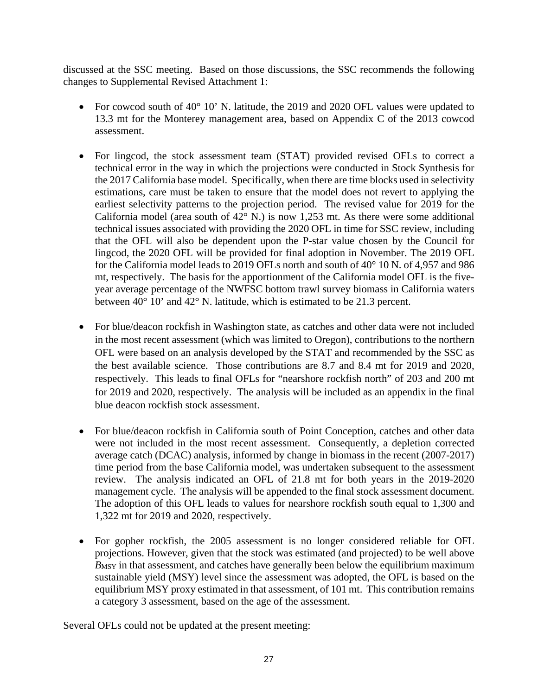discussed at the SSC meeting. Based on those discussions, the SSC recommends the following changes to Supplemental Revised Attachment 1:

- For cowcod south of 40° 10' N. latitude, the 2019 and 2020 OFL values were updated to 13.3 mt for the Monterey management area, based on Appendix C of the 2013 cowcod assessment.
- For lingcod, the stock assessment team (STAT) provided revised OFLs to correct a technical error in the way in which the projections were conducted in Stock Synthesis for the 2017 California base model. Specifically, when there are time blocks used in selectivity estimations, care must be taken to ensure that the model does not revert to applying the earliest selectivity patterns to the projection period. The revised value for 2019 for the California model (area south of 42° N.) is now 1,253 mt. As there were some additional technical issues associated with providing the 2020 OFL in time for SSC review, including that the OFL will also be dependent upon the P-star value chosen by the Council for lingcod, the 2020 OFL will be provided for final adoption in November. The 2019 OFL for the California model leads to 2019 OFLs north and south of 40° 10 N. of 4,957 and 986 mt, respectively. The basis for the apportionment of the California model OFL is the fiveyear average percentage of the NWFSC bottom trawl survey biomass in California waters between 40° 10' and 42° N. latitude, which is estimated to be 21.3 percent.
- For blue/deacon rockfish in Washington state, as catches and other data were not included in the most recent assessment (which was limited to Oregon), contributions to the northern OFL were based on an analysis developed by the STAT and recommended by the SSC as the best available science. Those contributions are 8.7 and 8.4 mt for 2019 and 2020, respectively. This leads to final OFLs for "nearshore rockfish north" of 203 and 200 mt for 2019 and 2020, respectively. The analysis will be included as an appendix in the final blue deacon rockfish stock assessment.
- For blue/deacon rockfish in California south of Point Conception, catches and other data were not included in the most recent assessment. Consequently, a depletion corrected average catch (DCAC) analysis, informed by change in biomass in the recent (2007-2017) time period from the base California model, was undertaken subsequent to the assessment review. The analysis indicated an OFL of 21.8 mt for both years in the 2019-2020 management cycle. The analysis will be appended to the final stock assessment document. The adoption of this OFL leads to values for nearshore rockfish south equal to 1,300 and 1,322 mt for 2019 and 2020, respectively.
- For gopher rockfish, the 2005 assessment is no longer considered reliable for OFL projections. However, given that the stock was estimated (and projected) to be well above *B*MSY in that assessment, and catches have generally been below the equilibrium maximum sustainable yield (MSY) level since the assessment was adopted, the OFL is based on the equilibrium MSY proxy estimated in that assessment, of 101 mt. This contribution remains a category 3 assessment, based on the age of the assessment.

Several OFLs could not be updated at the present meeting: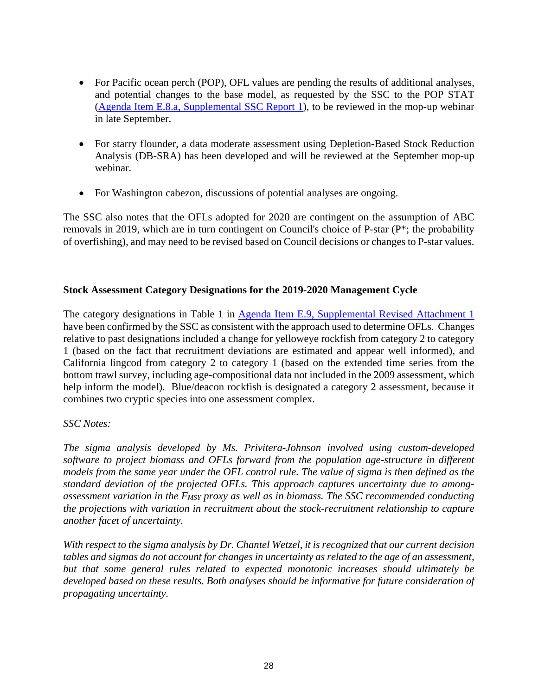- For Pacific ocean perch (POP), OFL values are pending the results of additional analyses, and potential changes to the base model, as requested by the SSC to the POP STAT (Agenda Item E.8.a, Supplemental SSC Report 1), to be reviewed in the mop-up webinar in late September.
- For starry flounder, a data moderate assessment using Depletion-Based Stock Reduction Analysis (DB-SRA) has been developed and will be reviewed at the September mop-up webinar.
- For Washington cabezon, discussions of potential analyses are ongoing.

The SSC also notes that the OFLs adopted for 2020 are contingent on the assumption of ABC removals in 2019, which are in turn contingent on Council's choice of P-star (P\*; the probability of overfishing), and may need to be revised based on Council decisions or changes to P-star values.

# **Stock Assessment Category Designations for the 2019-2020 Management Cycle**

The category designations in Table 1 in Agenda Item E.9, Supplemental Revised Attachment 1 have been confirmed by the SSC as consistent with the approach used to determine OFLs. Changes relative to past designations included a change for yelloweye rockfish from category 2 to category 1 (based on the fact that recruitment deviations are estimated and appear well informed), and California lingcod from category 2 to category 1 (based on the extended time series from the bottom trawl survey, including age-compositional data not included in the 2009 assessment, which help inform the model). Blue/deacon rockfish is designated a category 2 assessment, because it combines two cryptic species into one assessment complex.

# *SSC Notes:*

*The sigma analysis developed by Ms. Privitera-Johnson involved using custom-developed software to project biomass and OFLs forward from the population age-structure in different models from the same year under the OFL control rule. The value of sigma is then defined as the standard deviation of the projected OFLs. This approach captures uncertainty due to among*assessment variation in the F<sub>MSY</sub> proxy as well as in biomass. The SSC recommended conducting *the projections with variation in recruitment about the stock-recruitment relationship to capture another facet of uncertainty.* 

*With respect to the sigma analysis by Dr. Chantel Wetzel, it is recognized that our current decision tables and sigmas do not account for changes in uncertainty as related to the age of an assessment, but that some general rules related to expected monotonic increases should ultimately be developed based on these results. Both analyses should be informative for future consideration of propagating uncertainty.*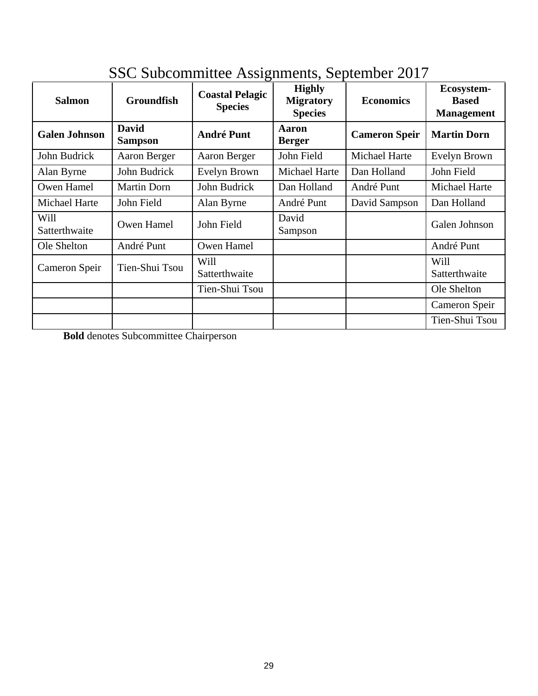| <b>Salmon</b>         | <b>Groundfish</b>              | <b>Coastal Pelagic</b><br><b>Species</b> | <b>Highly</b><br><b>Migratory</b><br><b>Species</b> | <b>Economics</b>     | Ecosystem-<br><b>Based</b><br><b>Management</b> |
|-----------------------|--------------------------------|------------------------------------------|-----------------------------------------------------|----------------------|-------------------------------------------------|
| <b>Galen Johnson</b>  | <b>David</b><br><b>Sampson</b> | <b>André Punt</b>                        | Aaron<br><b>Berger</b>                              | <b>Cameron Speir</b> | <b>Martin Dorn</b>                              |
| John Budrick          | Aaron Berger                   | Aaron Berger                             | John Field                                          | Michael Harte        | Evelyn Brown                                    |
| Alan Byrne            | John Budrick                   | Evelyn Brown                             | Michael Harte                                       | Dan Holland          | John Field                                      |
| Owen Hamel            | <b>Martin Dorn</b>             | John Budrick                             | Dan Holland                                         | André Punt           | Michael Harte                                   |
| Michael Harte         | John Field                     | Alan Byrne                               | André Punt                                          | David Sampson        | Dan Holland                                     |
| Will<br>Satterthwaite | Owen Hamel                     | John Field                               | David<br>Sampson                                    |                      | Galen Johnson                                   |
| Ole Shelton           | André Punt                     | Owen Hamel                               |                                                     |                      | André Punt                                      |
| Cameron Speir         | Tien-Shui Tsou                 | Will<br>Satterthwaite                    |                                                     |                      | Will<br>Satterthwaite                           |
|                       |                                | Tien-Shui Tsou                           |                                                     |                      | Ole Shelton                                     |
|                       |                                |                                          |                                                     |                      | Cameron Speir                                   |
|                       |                                |                                          |                                                     |                      | Tien-Shui Tsou                                  |

# SSC Subcommittee Assignments, September 2017

**Bold** denotes Subcommittee Chairperson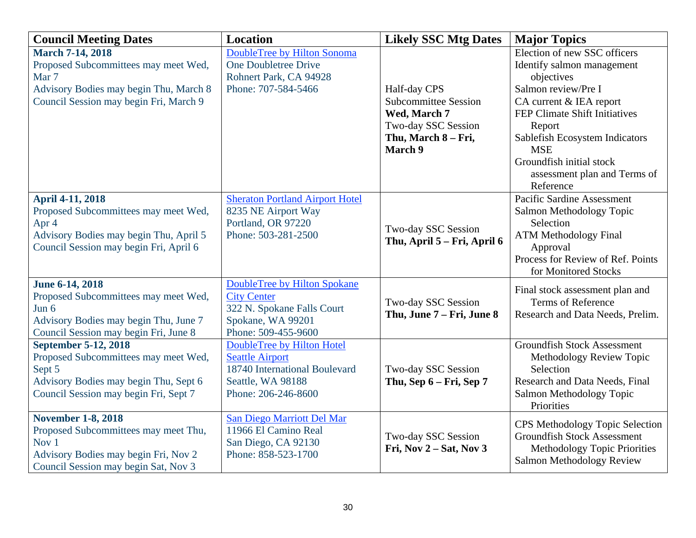| <b>Council Meeting Dates</b>           | <b>Location</b>                        | <b>Likely SSC Mtg Dates</b> | <b>Major Topics</b>                    |
|----------------------------------------|----------------------------------------|-----------------------------|----------------------------------------|
| <b>March 7-14, 2018</b>                | DoubleTree by Hilton Sonoma            |                             | Election of new SSC officers           |
| Proposed Subcommittees may meet Wed,   | <b>One Doubletree Drive</b>            |                             | Identify salmon management             |
| Mar 7                                  | Rohnert Park, CA 94928                 |                             | objectives                             |
| Advisory Bodies may begin Thu, March 8 | Phone: 707-584-5466                    | Half-day CPS                | Salmon review/Pre I                    |
| Council Session may begin Fri, March 9 |                                        | <b>Subcommittee Session</b> | CA current & IEA report                |
|                                        |                                        | Wed, March 7                | FEP Climate Shift Initiatives          |
|                                        |                                        | Two-day SSC Session         | Report                                 |
|                                        |                                        | Thu, March 8 - Fri,         | Sablefish Ecosystem Indicators         |
|                                        |                                        | March 9                     | <b>MSE</b>                             |
|                                        |                                        |                             | Groundfish initial stock               |
|                                        |                                        |                             | assessment plan and Terms of           |
|                                        |                                        |                             | Reference                              |
| <b>April 4-11, 2018</b>                | <b>Sheraton Portland Airport Hotel</b> |                             | <b>Pacific Sardine Assessment</b>      |
| Proposed Subcommittees may meet Wed,   | 8235 NE Airport Way                    |                             | Salmon Methodology Topic               |
| Apr 4                                  | Portland, OR 97220                     | Two-day SSC Session         | Selection                              |
| Advisory Bodies may begin Thu, April 5 | Phone: 503-281-2500                    | Thu, April 5 – Fri, April 6 | <b>ATM Methodology Final</b>           |
| Council Session may begin Fri, April 6 |                                        |                             | Approval                               |
|                                        |                                        |                             | Process for Review of Ref. Points      |
|                                        |                                        |                             | for Monitored Stocks                   |
| June 6-14, 2018                        | <b>DoubleTree by Hilton Spokane</b>    |                             | Final stock assessment plan and        |
| Proposed Subcommittees may meet Wed,   | <b>City Center</b>                     | Two-day SSC Session         | <b>Terms of Reference</b>              |
| Jun 6                                  | 322 N. Spokane Falls Court             | Thu, June 7 – Fri, June 8   | Research and Data Needs, Prelim.       |
| Advisory Bodies may begin Thu, June 7  | Spokane, WA 99201                      |                             |                                        |
| Council Session may begin Fri, June 8  | Phone: 509-455-9600                    |                             |                                        |
| <b>September 5-12, 2018</b>            | DoubleTree by Hilton Hotel             |                             | <b>Groundfish Stock Assessment</b>     |
| Proposed Subcommittees may meet Wed,   | <b>Seattle Airport</b>                 |                             | Methodology Review Topic               |
| Sept 5                                 | 18740 International Boulevard          | Two-day SSC Session         | Selection                              |
| Advisory Bodies may begin Thu, Sept 6  | Seattle, WA 98188                      | Thu, Sep 6 – Fri, Sep 7     | Research and Data Needs, Final         |
| Council Session may begin Fri, Sept 7  | Phone: 206-246-8600                    |                             | Salmon Methodology Topic               |
|                                        |                                        |                             | Priorities                             |
| <b>November 1-8, 2018</b>              | San Diego Marriott Del Mar             |                             | <b>CPS</b> Methodology Topic Selection |
| Proposed Subcommittees may meet Thu,   | 11966 El Camino Real                   | Two-day SSC Session         | <b>Groundfish Stock Assessment</b>     |
| Nov 1                                  | San Diego, CA 92130                    | Fri, Nov $2 - Sat$ , Nov 3  | Methodology Topic Priorities           |
| Advisory Bodies may begin Fri, Nov 2   | Phone: 858-523-1700                    |                             | Salmon Methodology Review              |
| Council Session may begin Sat, Nov 3   |                                        |                             |                                        |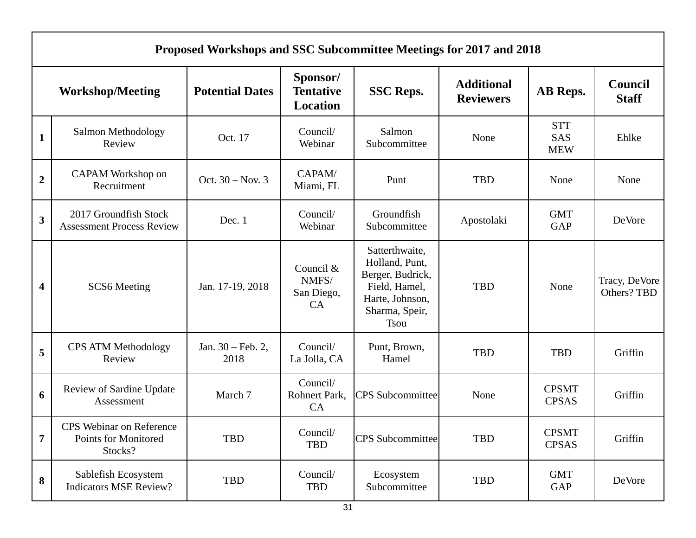|                         | Proposed Workshops and SSC Subcommittee Meetings for 2017 and 2018 |                                      |                                          |                                                                                                                           |                                       |                                 |                                |  |
|-------------------------|--------------------------------------------------------------------|--------------------------------------|------------------------------------------|---------------------------------------------------------------------------------------------------------------------------|---------------------------------------|---------------------------------|--------------------------------|--|
|                         | <b>Workshop/Meeting</b>                                            | <b>Potential Dates</b>               | Sponsor/<br><b>Tentative</b><br>Location | <b>SSC Reps.</b>                                                                                                          | <b>Additional</b><br><b>Reviewers</b> | AB Reps.                        | <b>Council</b><br><b>Staff</b> |  |
| $\mathbf{1}$            | Salmon Methodology<br>Review                                       | Oct. 17                              | Council/<br>Webinar                      | Salmon<br>Subcommittee                                                                                                    | None                                  | <b>STT</b><br>SAS<br><b>MEW</b> | Ehlke                          |  |
| $\boldsymbol{2}$        | CAPAM Workshop on<br>Recruitment                                   | Oct. $30 - Nov. 3$                   | CAPAM/<br>Miami, FL                      | Punt                                                                                                                      | TBD                                   | None                            | None                           |  |
| $\overline{\mathbf{3}}$ | 2017 Groundfish Stock<br><b>Assessment Process Review</b>          | Dec. 1                               | Council/<br>Webinar                      | Groundfish<br>Subcommittee                                                                                                | Apostolaki                            | <b>GMT</b><br><b>GAP</b>        | DeVore                         |  |
| 4                       | <b>SCS6</b> Meeting                                                | Jan. 17-19, 2018                     | Council &<br>NMFS/<br>San Diego,<br>CA   | Satterthwaite,<br>Holland, Punt,<br>Berger, Budrick,<br>Field, Hamel,<br>Harte, Johnson,<br>Sharma, Speir,<br><b>Tsou</b> | <b>TBD</b>                            | None                            | Tracy, DeVore<br>Others? TBD   |  |
| 5                       | <b>CPS ATM Methodology</b><br>Review                               | Jan. $30 - \text{Feb. } 2$ ,<br>2018 | Council/<br>La Jolla, CA                 | Punt, Brown,<br>Hamel                                                                                                     | <b>TBD</b>                            | <b>TBD</b>                      | Griffin                        |  |
| 6                       | Review of Sardine Update<br>Assessment                             | March 7                              | Council/<br>Rohnert Park,<br>CA          | <b>CPS</b> Subcommittee                                                                                                   | None                                  | <b>CPSMT</b><br><b>CPSAS</b>    | Griffin                        |  |
| 7                       | CPS Webinar on Reference<br>Points for Monitored<br>Stocks?        | TBD                                  | Council/<br>TBD                          | <b>CPS</b> Subcommittee                                                                                                   | <b>TBD</b>                            | <b>CPSMT</b><br><b>CPSAS</b>    | Griffin                        |  |
| 8                       | Sablefish Ecosystem<br><b>Indicators MSE Review?</b>               | TBD                                  | Council/<br>TBD                          | Ecosystem<br>Subcommittee                                                                                                 | TBD                                   | <b>GMT</b><br>GAP               | DeVore                         |  |